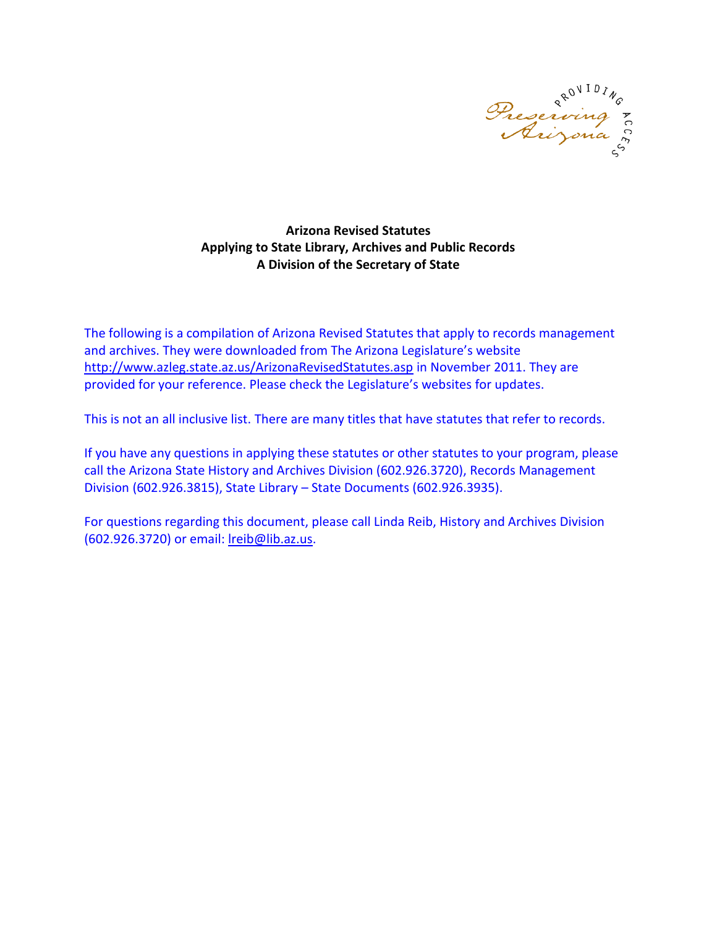

#### **Arizona Revised Statutes Applying to State Library, Archives and Public Records A Division of the Secretary of State**

The following is a compilation of Arizona Revised Statutes that apply to records management and archives. They were downloaded from The Arizona Legislature's website <http://www.azleg.state.az.us/ArizonaRevisedStatutes.asp> in November 2011. They are provided for your reference. Please check the Legislature's websites for updates.

This is not an all inclusive list. There are many titles that have statutes that refer to records.

If you have any questions in applying these statutes or other statutes to your program, please call the Arizona State History and Archives Division (602.926.3720), Records Management Division (602.926.3815), State Library – State Documents (602.926.3935).

For questions regarding this document, please call Linda Reib, History and Archives Division (602.926.3720) or email: [lreib@lib.az.us.](mailto:lreib@lib.az.us)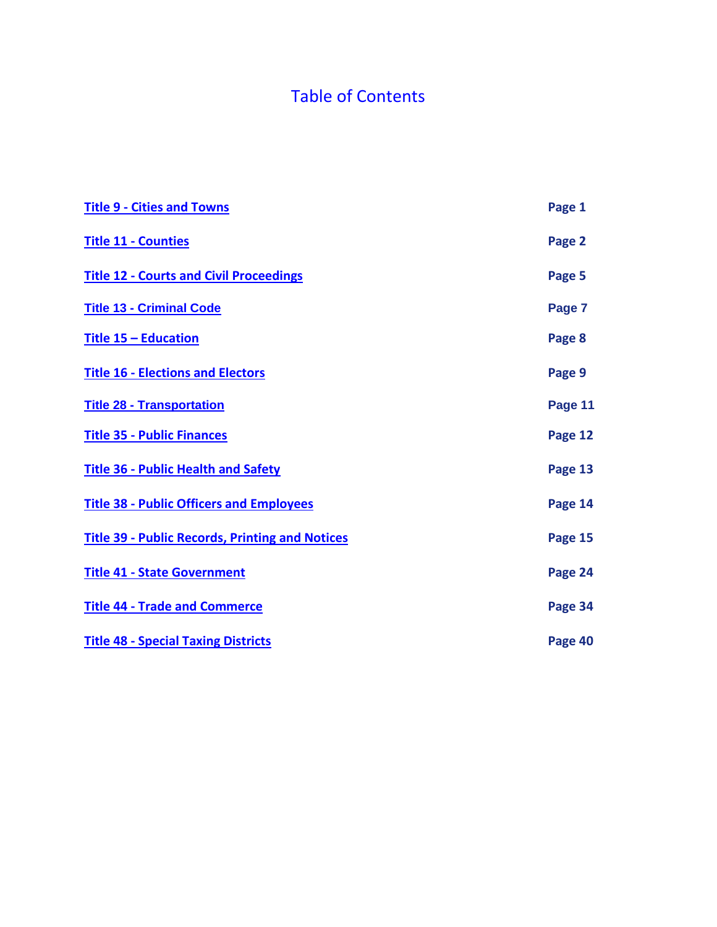# Table of Contents

| <b>Title 9 - Cities and Towns</b>                      | Page 1  |
|--------------------------------------------------------|---------|
| <b>Title 11 - Counties</b>                             | Page 2  |
| <b>Title 12 - Courts and Civil Proceedings</b>         | Page 5  |
| <b>Title 13 - Criminal Code</b>                        | Page 7  |
| <b>Title 15 - Education</b>                            | Page 8  |
| <b>Title 16 - Elections and Electors</b>               | Page 9  |
| <b>Title 28 - Transportation</b>                       | Page 11 |
| <b>Title 35 - Public Finances</b>                      | Page 12 |
| <b>Title 36 - Public Health and Safety</b>             | Page 13 |
| <b>Title 38 - Public Officers and Employees</b>        | Page 14 |
| <b>Title 39 - Public Records, Printing and Notices</b> | Page 15 |
| <b>Title 41 - State Government</b>                     | Page 24 |
| <b>Title 44 - Trade and Commerce</b>                   | Page 34 |
| <b>Title 48 - Special Taxing Districts</b>             | Page 40 |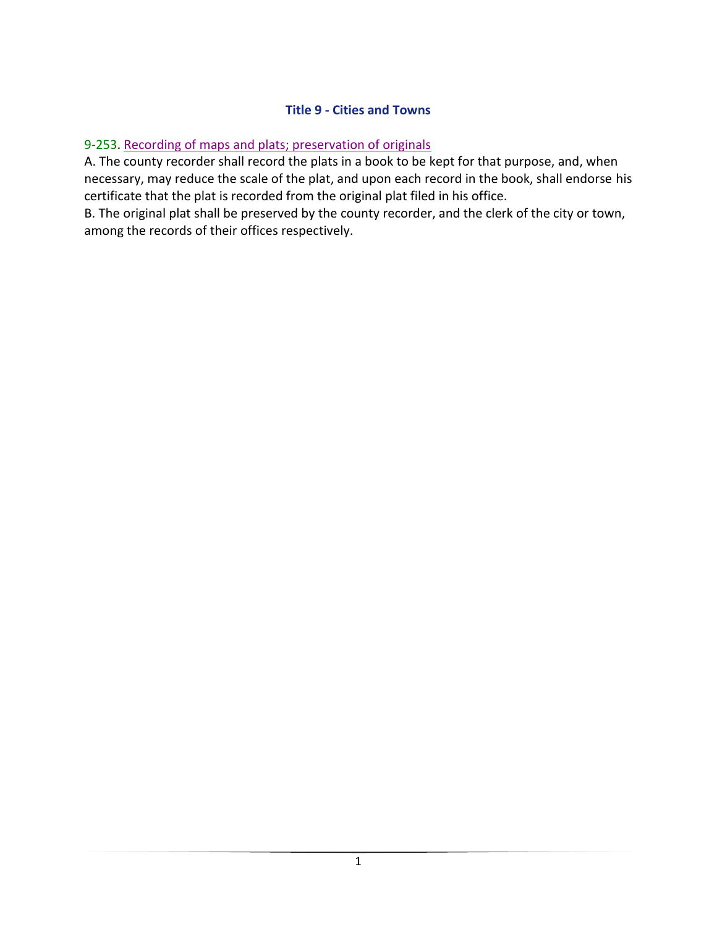### **Title 9 - Cities and Towns**

### <span id="page-2-0"></span>9-253. Recording of maps and plats; preservation of originals

A. The county recorder shall record the plats in a book to be kept for that purpose, and, when necessary, may reduce the scale of the plat, and upon each record in the book, shall endorse his certificate that the plat is recorded from the original plat filed in his office.

B. The original plat shall be preserved by the county recorder, and the clerk of the city or town, among the records of their offices respectively.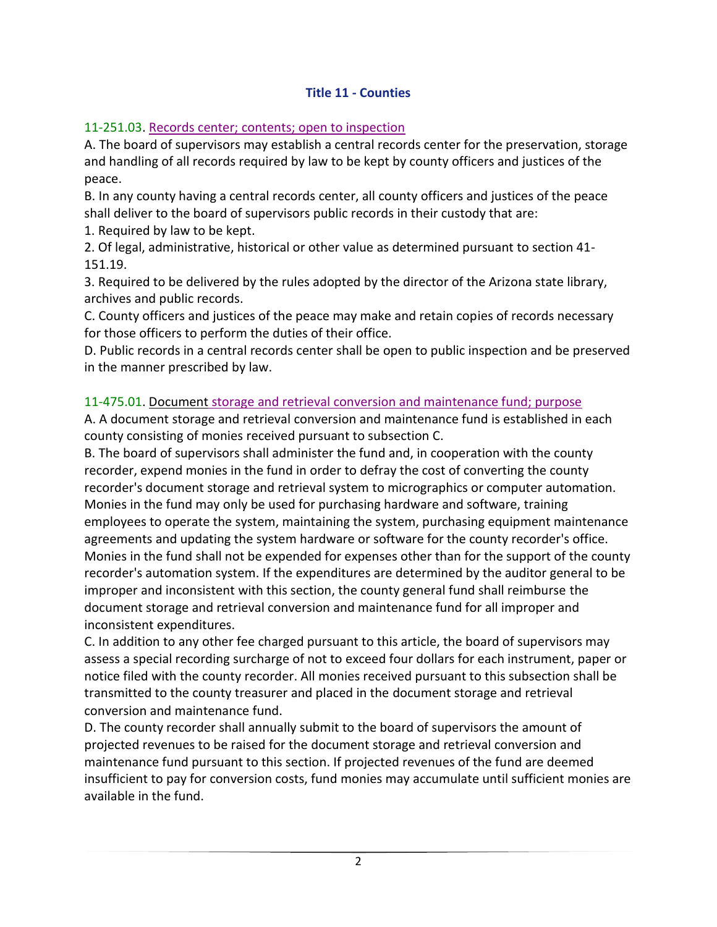### **Title 11 - Counties**

### <span id="page-3-0"></span>11-251.03. Records center; contents; open to inspection

A. The board of supervisors may establish a central records center for the preservation, storage and handling of all records required by law to be kept by county officers and justices of the peace.

B. In any county having a central records center, all county officers and justices of the peace shall deliver to the board of supervisors public records in their custody that are:

1. Required by law to be kept.

2. Of legal, administrative, historical or other value as determined pursuant to section 41- 151.19.

3. Required to be delivered by the rules adopted by the director of the Arizona state library, archives and public records.

C. County officers and justices of the peace may make and retain copies of records necessary for those officers to perform the duties of their office.

D. Public records in a central records center shall be open to public inspection and be preserved in the manner prescribed by law.

### 11-475.01. Document storage and retrieval conversion and maintenance fund; purpose

A. A document storage and retrieval conversion and maintenance fund is established in each county consisting of monies received pursuant to subsection C.

B. The board of supervisors shall administer the fund and, in cooperation with the county recorder, expend monies in the fund in order to defray the cost of converting the county recorder's document storage and retrieval system to micrographics or computer automation. Monies in the fund may only be used for purchasing hardware and software, training employees to operate the system, maintaining the system, purchasing equipment maintenance agreements and updating the system hardware or software for the county recorder's office. Monies in the fund shall not be expended for expenses other than for the support of the county recorder's automation system. If the expenditures are determined by the auditor general to be improper and inconsistent with this section, the county general fund shall reimburse the document storage and retrieval conversion and maintenance fund for all improper and inconsistent expenditures.

C. In addition to any other fee charged pursuant to this article, the board of supervisors may assess a special recording surcharge of not to exceed four dollars for each instrument, paper or notice filed with the county recorder. All monies received pursuant to this subsection shall be transmitted to the county treasurer and placed in the document storage and retrieval conversion and maintenance fund.

D. The county recorder shall annually submit to the board of supervisors the amount of projected revenues to be raised for the document storage and retrieval conversion and maintenance fund pursuant to this section. If projected revenues of the fund are deemed insufficient to pay for conversion costs, fund monies may accumulate until sufficient monies are available in the fund.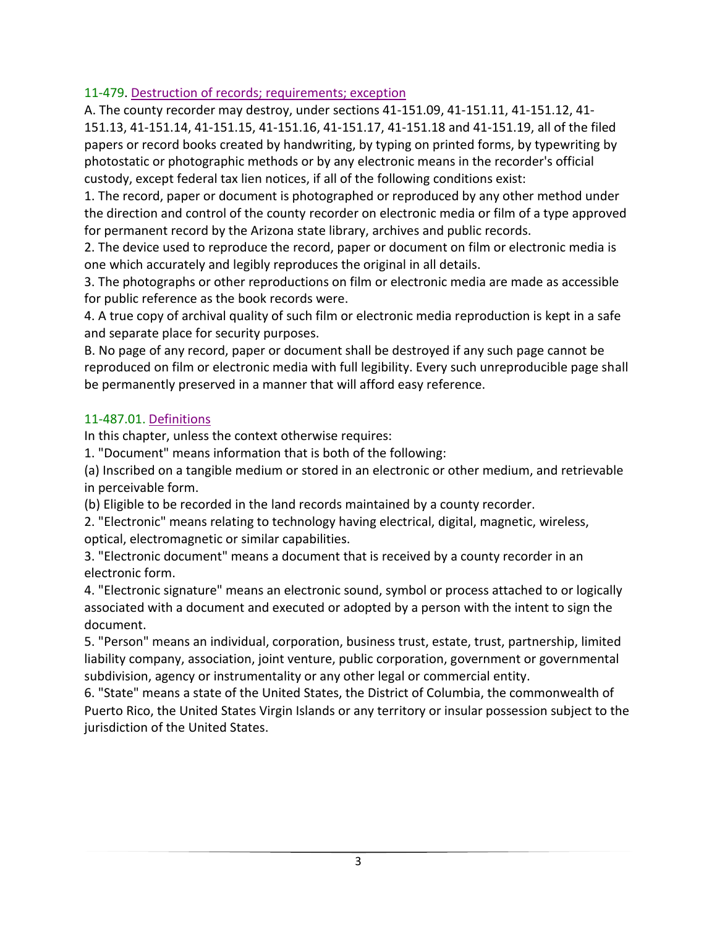### 11-479. Destruction of records; requirements; exception

A. The county recorder may destroy, under sections 41-151.09, 41-151.11, 41-151.12, 41- 151.13, 41-151.14, 41-151.15, 41-151.16, 41-151.17, 41-151.18 and 41-151.19, all of the filed papers or record books created by handwriting, by typing on printed forms, by typewriting by photostatic or photographic methods or by any electronic means in the recorder's official custody, except federal tax lien notices, if all of the following conditions exist:

1. The record, paper or document is photographed or reproduced by any other method under the direction and control of the county recorder on electronic media or film of a type approved for permanent record by the Arizona state library, archives and public records.

2. The device used to reproduce the record, paper or document on film or electronic media is one which accurately and legibly reproduces the original in all details.

3. The photographs or other reproductions on film or electronic media are made as accessible for public reference as the book records were.

4. A true copy of archival quality of such film or electronic media reproduction is kept in a safe and separate place for security purposes.

B. No page of any record, paper or document shall be destroyed if any such page cannot be reproduced on film or electronic media with full legibility. Every such unreproducible page shall be permanently preserved in a manner that will afford easy reference.

#### 11-487.01. Definitions

In this chapter, unless the context otherwise requires:

1. "Document" means information that is both of the following:

(a) Inscribed on a tangible medium or stored in an electronic or other medium, and retrievable in perceivable form.

(b) Eligible to be recorded in the land records maintained by a county recorder.

2. "Electronic" means relating to technology having electrical, digital, magnetic, wireless, optical, electromagnetic or similar capabilities.

3. "Electronic document" means a document that is received by a county recorder in an electronic form.

4. "Electronic signature" means an electronic sound, symbol or process attached to or logically associated with a document and executed or adopted by a person with the intent to sign the document.

5. "Person" means an individual, corporation, business trust, estate, trust, partnership, limited liability company, association, joint venture, public corporation, government or governmental subdivision, agency or instrumentality or any other legal or commercial entity.

6. "State" means a state of the United States, the District of Columbia, the commonwealth of Puerto Rico, the United States Virgin Islands or any territory or insular possession subject to the jurisdiction of the United States.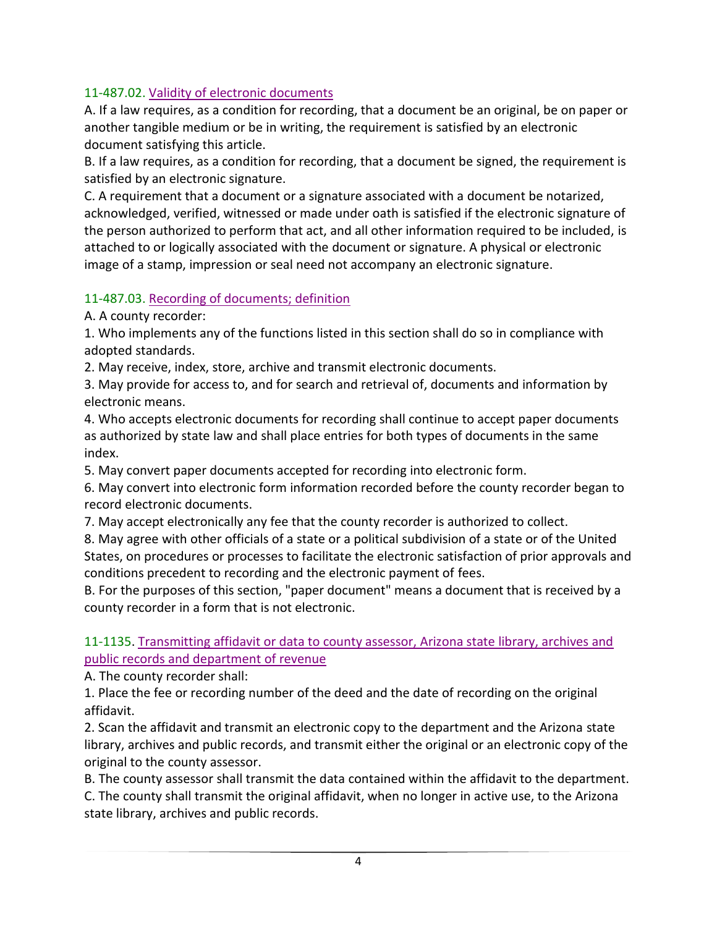### 11-487.02. Validity of electronic documents

A. If a law requires, as a condition for recording, that a document be an original, be on paper or another tangible medium or be in writing, the requirement is satisfied by an electronic document satisfying this article.

B. If a law requires, as a condition for recording, that a document be signed, the requirement is satisfied by an electronic signature.

C. A requirement that a document or a signature associated with a document be notarized, acknowledged, verified, witnessed or made under oath is satisfied if the electronic signature of the person authorized to perform that act, and all other information required to be included, is attached to or logically associated with the document or signature. A physical or electronic image of a stamp, impression or seal need not accompany an electronic signature.

### 11-487.03. Recording of documents; definition

A. A county recorder:

1. Who implements any of the functions listed in this section shall do so in compliance with adopted standards.

2. May receive, index, store, archive and transmit electronic documents.

3. May provide for access to, and for search and retrieval of, documents and information by electronic means.

4. Who accepts electronic documents for recording shall continue to accept paper documents as authorized by state law and shall place entries for both types of documents in the same index.

5. May convert paper documents accepted for recording into electronic form.

6. May convert into electronic form information recorded before the county recorder began to record electronic documents.

7. May accept electronically any fee that the county recorder is authorized to collect.

8. May agree with other officials of a state or a political subdivision of a state or of the United States, on procedures or processes to facilitate the electronic satisfaction of prior approvals and conditions precedent to recording and the electronic payment of fees.

B. For the purposes of this section, "paper document" means a document that is received by a county recorder in a form that is not electronic.

11-1135. Transmitting affidavit or data to county assessor, Arizona state library, archives and public records and department of revenue

A. The county recorder shall:

1. Place the fee or recording number of the deed and the date of recording on the original affidavit.

2. Scan the affidavit and transmit an electronic copy to the department and the Arizona state library, archives and public records, and transmit either the original or an electronic copy of the original to the county assessor.

<span id="page-5-0"></span>B. The county assessor shall transmit the data contained within the affidavit to the department. C. The county shall transmit the original affidavit, when no longer in active use, to the Arizona state library, archives and public records.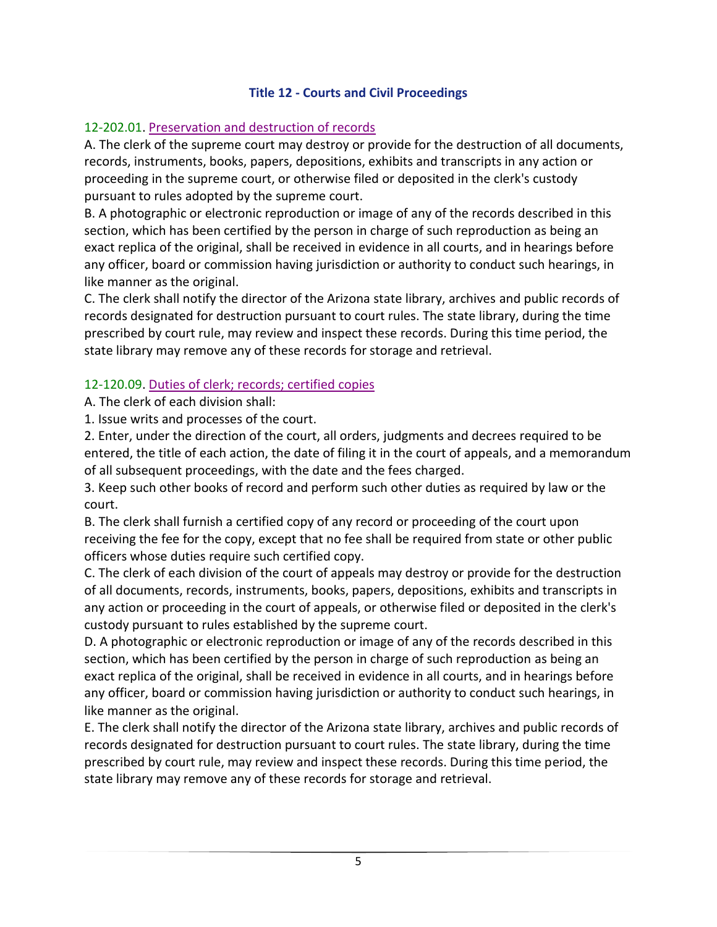### **Title 12 - Courts and Civil Proceedings**

### <span id="page-6-0"></span>12-202.01. Preservation and destruction of records

A. The clerk of the supreme court may destroy or provide for the destruction of all documents, records, instruments, books, papers, depositions, exhibits and transcripts in any action or proceeding in the supreme court, or otherwise filed or deposited in the clerk's custody pursuant to rules adopted by the supreme court.

B. A photographic or electronic reproduction or image of any of the records described in this section, which has been certified by the person in charge of such reproduction as being an exact replica of the original, shall be received in evidence in all courts, and in hearings before any officer, board or commission having jurisdiction or authority to conduct such hearings, in like manner as the original.

C. The clerk shall notify the director of the Arizona state library, archives and public records of records designated for destruction pursuant to court rules. The state library, during the time prescribed by court rule, may review and inspect these records. During this time period, the state library may remove any of these records for storage and retrieval.

#### 12-120.09. Duties of clerk; records; certified copies

A. The clerk of each division shall:

1. Issue writs and processes of the court.

2. Enter, under the direction of the court, all orders, judgments and decrees required to be entered, the title of each action, the date of filing it in the court of appeals, and a memorandum of all subsequent proceedings, with the date and the fees charged.

3. Keep such other books of record and perform such other duties as required by law or the court.

B. The clerk shall furnish a certified copy of any record or proceeding of the court upon receiving the fee for the copy, except that no fee shall be required from state or other public officers whose duties require such certified copy.

C. The clerk of each division of the court of appeals may destroy or provide for the destruction of all documents, records, instruments, books, papers, depositions, exhibits and transcripts in any action or proceeding in the court of appeals, or otherwise filed or deposited in the clerk's custody pursuant to rules established by the supreme court.

D. A photographic or electronic reproduction or image of any of the records described in this section, which has been certified by the person in charge of such reproduction as being an exact replica of the original, shall be received in evidence in all courts, and in hearings before any officer, board or commission having jurisdiction or authority to conduct such hearings, in like manner as the original.

E. The clerk shall notify the director of the Arizona state library, archives and public records of records designated for destruction pursuant to court rules. The state library, during the time prescribed by court rule, may review and inspect these records. During this time period, the state library may remove any of these records for storage and retrieval.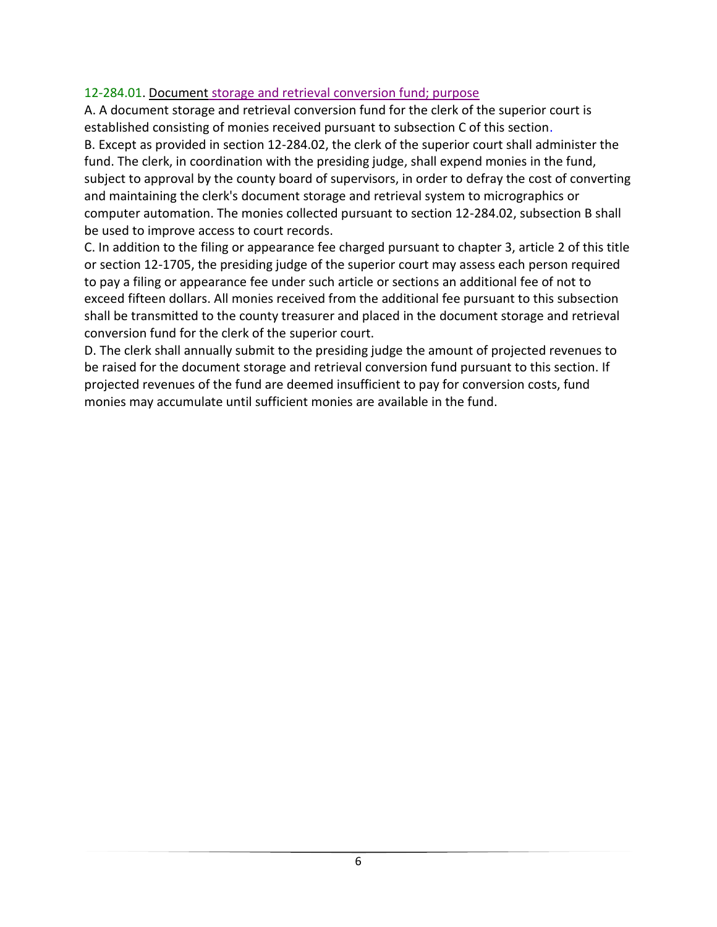### 12-284.01. Document storage and retrieval conversion fund; purpose

A. A document storage and retrieval conversion fund for the clerk of the superior court is established consisting of monies received pursuant to subsection C of this section. B. Except as provided in section 12-284.02, the clerk of the superior court shall administer the fund. The clerk, in coordination with the presiding judge, shall expend monies in the fund, subject to approval by the county board of supervisors, in order to defray the cost of converting and maintaining the clerk's document storage and retrieval system to micrographics or computer automation. The monies collected pursuant to section 12-284.02, subsection B shall be used to improve access to court records.

C. In addition to the filing or appearance fee charged pursuant to chapter 3, article 2 of this title or section 12-1705, the presiding judge of the superior court may assess each person required to pay a filing or appearance fee under such article or sections an additional fee of not to exceed fifteen dollars. All monies received from the additional fee pursuant to this subsection shall be transmitted to the county treasurer and placed in the document storage and retrieval conversion fund for the clerk of the superior court.

<span id="page-7-0"></span>D. The clerk shall annually submit to the presiding judge the amount of projected revenues to be raised for the document storage and retrieval conversion fund pursuant to this section. If projected revenues of the fund are deemed insufficient to pay for conversion costs, fund monies may accumulate until sufficient monies are available in the fund.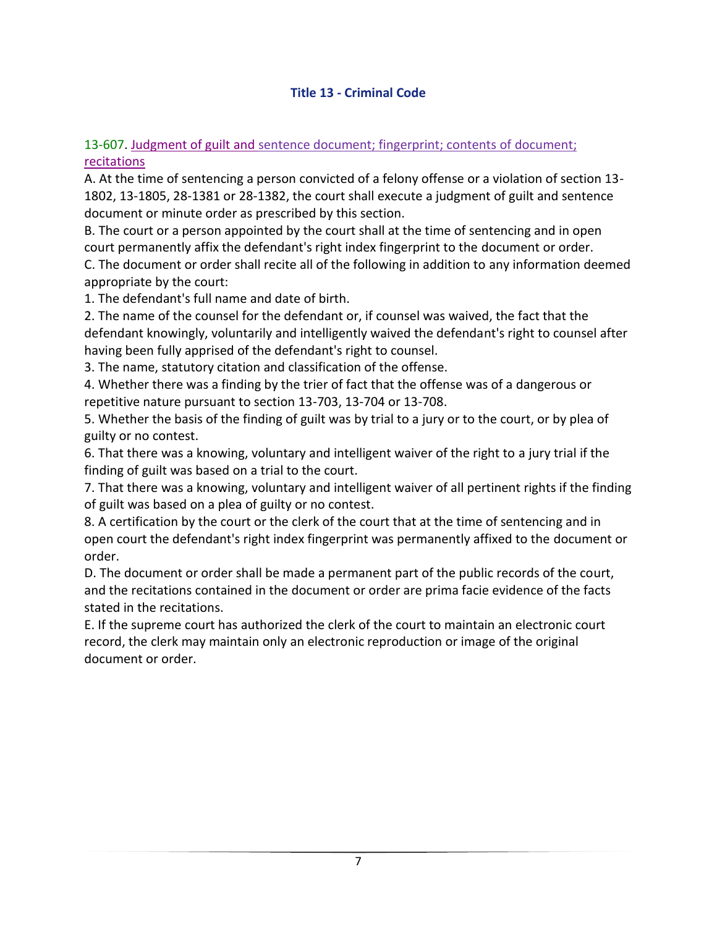### **Title 13 - Criminal Code**

#### <span id="page-8-0"></span>13-607. Judgment of guilt and sentence document; fingerprint; contents of document; recitations

A. At the time of sentencing a person convicted of a felony offense or a violation of section 13- 1802, 13-1805, 28-1381 or 28-1382, the court shall execute a judgment of guilt and sentence document or minute order as prescribed by this section.

B. The court or a person appointed by the court shall at the time of sentencing and in open court permanently affix the defendant's right index fingerprint to the document or order.

C. The document or order shall recite all of the following in addition to any information deemed appropriate by the court:

1. The defendant's full name and date of birth.

2. The name of the counsel for the defendant or, if counsel was waived, the fact that the defendant knowingly, voluntarily and intelligently waived the defendant's right to counsel after having been fully apprised of the defendant's right to counsel.

3. The name, statutory citation and classification of the offense.

4. Whether there was a finding by the trier of fact that the offense was of a dangerous or repetitive nature pursuant to section 13-703, 13-704 or 13-708.

5. Whether the basis of the finding of guilt was by trial to a jury or to the court, or by plea of guilty or no contest.

6. That there was a knowing, voluntary and intelligent waiver of the right to a jury trial if the finding of guilt was based on a trial to the court.

7. That there was a knowing, voluntary and intelligent waiver of all pertinent rights if the finding of guilt was based on a plea of guilty or no contest.

8. A certification by the court or the clerk of the court that at the time of sentencing and in open court the defendant's right index fingerprint was permanently affixed to the document or order.

D. The document or order shall be made a permanent part of the public records of the court, and the recitations contained in the document or order are prima facie evidence of the facts stated in the recitations.

E. If the supreme court has authorized the clerk of the court to maintain an electronic court record, the clerk may maintain only an electronic reproduction or image of the original document or order.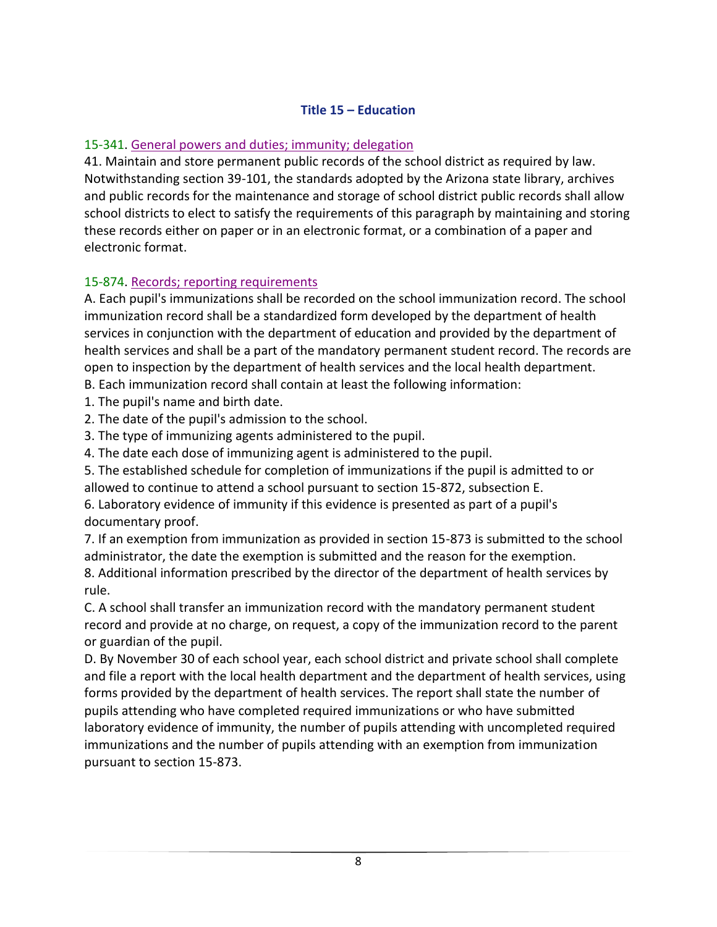### **Title 15 – Education**

### 15-341. General powers and duties; immunity; delegation

41. Maintain and store permanent public records of the school district as required by law. Notwithstanding section 39-101, the standards adopted by the Arizona state library, archives and public records for the maintenance and storage of school district public records shall allow school districts to elect to satisfy the requirements of this paragraph by maintaining and storing these records either on paper or in an electronic format, or a combination of a paper and electronic format.

#### 15-874. Records; reporting requirements

A. Each pupil's immunizations shall be recorded on the school immunization record. The school immunization record shall be a standardized form developed by the department of health services in conjunction with the department of education and provided by the department of health services and shall be a part of the mandatory permanent student record. The records are open to inspection by the department of health services and the local health department. B. Each immunization record shall contain at least the following information:

- 1. The pupil's name and birth date.
- 2. The date of the pupil's admission to the school.
- 3. The type of immunizing agents administered to the pupil.
- 4. The date each dose of immunizing agent is administered to the pupil.
- 5. The established schedule for completion of immunizations if the pupil is admitted to or allowed to continue to attend a school pursuant to section 15-872, subsection E.

6. Laboratory evidence of immunity if this evidence is presented as part of a pupil's documentary proof.

7. If an exemption from immunization as provided in section 15-873 is submitted to the school administrator, the date the exemption is submitted and the reason for the exemption. 8. Additional information prescribed by the director of the department of health services by rule.

C. A school shall transfer an immunization record with the mandatory permanent student record and provide at no charge, on request, a copy of the immunization record to the parent or guardian of the pupil.

D. By November 30 of each school year, each school district and private school shall complete and file a report with the local health department and the department of health services, using forms provided by the department of health services. The report shall state the number of pupils attending who have completed required immunizations or who have submitted laboratory evidence of immunity, the number of pupils attending with uncompleted required immunizations and the number of pupils attending with an exemption from immunization pursuant to section 15-873.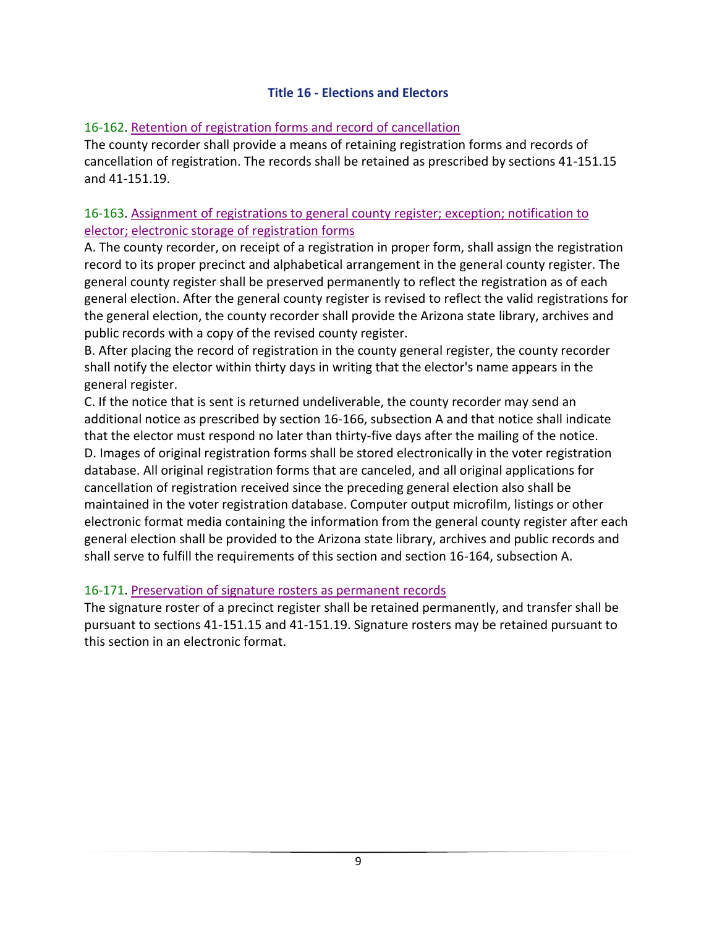#### **Title 16 - Elections and Electors**

#### 16-162. Retention of registration forms and record of cancellation

The county recorder shall provide a means of retaining registration forms and records of cancellation of registration. The records shall be retained as prescribed by sections 41-151.15 and 41-151.19.

### 16-163. Assignment of registrations to general county register; exception; notification to elector; electronic storage of registration forms

A. The county recorder, on receipt of a registration in proper form, shall assign the registration record to its proper precinct and alphabetical arrangement in the general county register. The general county register shall be preserved permanently to reflect the registration as of each general election. After the general county register is revised to reflect the valid registrations for the general election, the county recorder shall provide the Arizona state library, archives and public records with a copy of the revised county register.

B. After placing the record of registration in the county general register, the county recorder shall notify the elector within thirty days in writing that the elector's name appears in the general register.

C. If the notice that is sent is returned undeliverable, the county recorder may send an additional notice as prescribed by section 16-166, subsection A and that notice shall indicate that the elector must respond no later than thirty-five days after the mailing of the notice. D. Images of original registration forms shall be stored electronically in the voter registration database. All original registration forms that are canceled, and all original applications for cancellation of registration received since the preceding general election also shall be maintained in the voter registration database. Computer output microfilm, listings or other electronic format media containing the information from the general county register after each general election shall be provided to the Arizona state library, archives and public records and shall serve to fulfill the requirements of this section and section 16-164, subsection A.

#### 16-171. Preservation of signature rosters as permanent records

The signature roster of a precinct register shall be retained permanently, and transfer shall be pursuant to sections 41-151.15 and 41-151.19. Signature rosters may be retained pursuant to this section in an electronic format.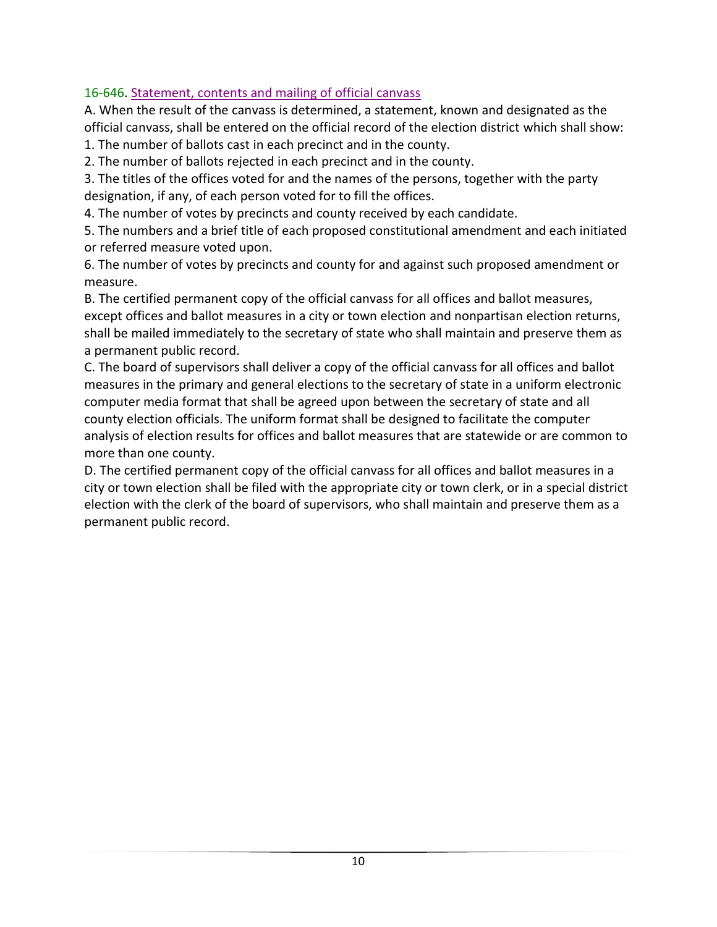### 16-646. Statement, contents and mailing of official canvass

A. When the result of the canvass is determined, a statement, known and designated as the official canvass, shall be entered on the official record of the election district which shall show:

1. The number of ballots cast in each precinct and in the county.

2. The number of ballots rejected in each precinct and in the county.

3. The titles of the offices voted for and the names of the persons, together with the party designation, if any, of each person voted for to fill the offices.

4. The number of votes by precincts and county received by each candidate.

5. The numbers and a brief title of each proposed constitutional amendment and each initiated or referred measure voted upon.

6. The number of votes by precincts and county for and against such proposed amendment or measure.

B. The certified permanent copy of the official canvass for all offices and ballot measures, except offices and ballot measures in a city or town election and nonpartisan election returns, shall be mailed immediately to the secretary of state who shall maintain and preserve them as a permanent public record.

C. The board of supervisors shall deliver a copy of the official canvass for all offices and ballot measures in the primary and general elections to the secretary of state in a uniform electronic computer media format that shall be agreed upon between the secretary of state and all county election officials. The uniform format shall be designed to facilitate the computer analysis of election results for offices and ballot measures that are statewide or are common to more than one county.

D. The certified permanent copy of the official canvass for all offices and ballot measures in a city or town election shall be filed with the appropriate city or town clerk, or in a special district election with the clerk of the board of supervisors, who shall maintain and preserve them as a permanent public record.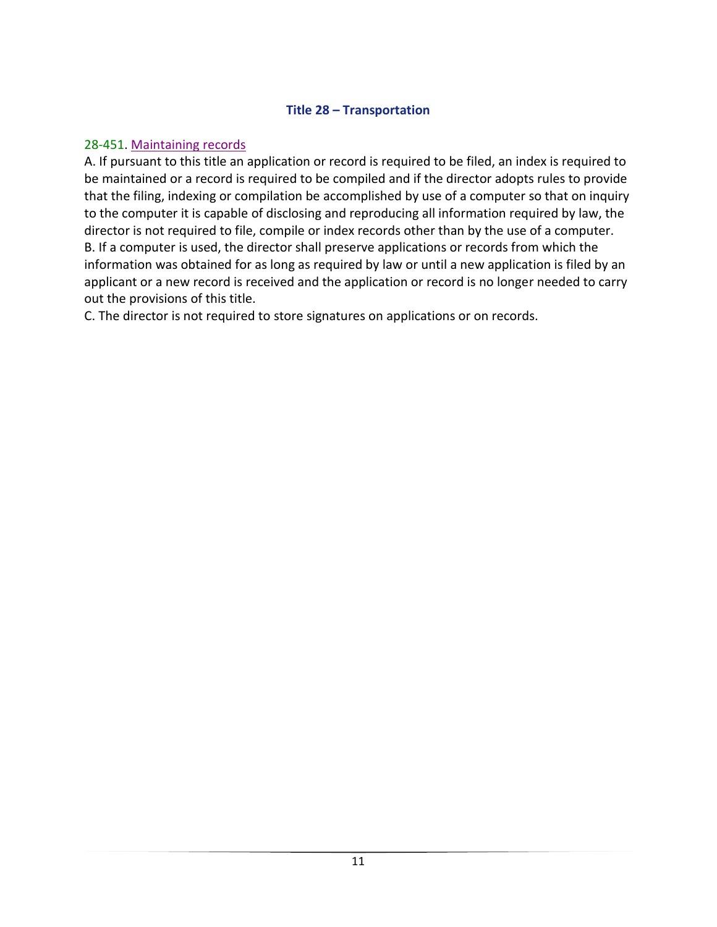#### **Title 28 – Transportation**

#### <span id="page-12-1"></span><span id="page-12-0"></span>28-451. Maintaining records

A. If pursuant to this title an application or record is required to be filed, an index is required to be maintained or a record is required to be compiled and if the director adopts rules to provide that the filing, indexing or compilation be accomplished by use of a computer so that on inquiry to the computer it is capable of disclosing and reproducing all information required by law, the director is not required to file, compile or index records other than by the use of a computer. B. If a computer is used, the director shall preserve applications or records from which the information was obtained for as long as required by law or until a new application is filed by an applicant or a new record is received and the application or record is no longer needed to carry out the provisions of this title.

C. The director is not required to store signatures on applications or on records.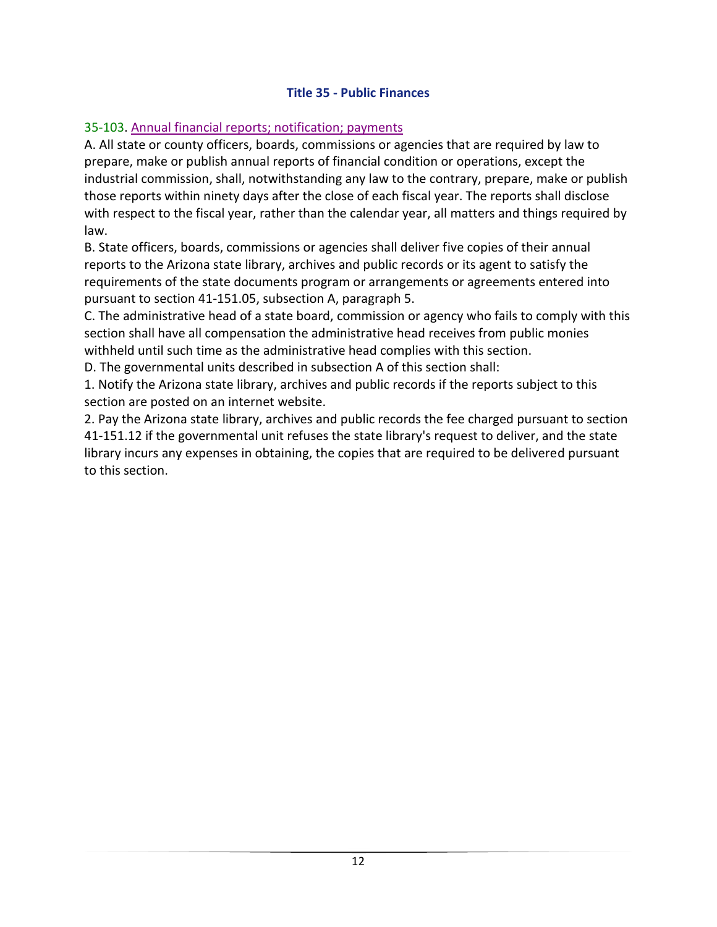### **Title 35 - Public Finances**

### 35-103. Annual financial reports; notification; payments

A. All state or county officers, boards, commissions or agencies that are required by law to prepare, make or publish annual reports of financial condition or operations, except the industrial commission, shall, notwithstanding any law to the contrary, prepare, make or publish those reports within ninety days after the close of each fiscal year. The reports shall disclose with respect to the fiscal year, rather than the calendar year, all matters and things required by law.

B. State officers, boards, commissions or agencies shall deliver five copies of their annual reports to the Arizona state library, archives and public records or its agent to satisfy the requirements of the state documents program or arrangements or agreements entered into pursuant to section 41-151.05, subsection A, paragraph 5.

C. The administrative head of a state board, commission or agency who fails to comply with this section shall have all compensation the administrative head receives from public monies withheld until such time as the administrative head complies with this section.

D. The governmental units described in subsection A of this section shall:

1. Notify the Arizona state library, archives and public records if the reports subject to this section are posted on an internet website.

2. Pay the Arizona state library, archives and public records the fee charged pursuant to section 41-151.12 if the governmental unit refuses the state library's request to deliver, and the state library incurs any expenses in obtaining, the copies that are required to be delivered pursuant to this section.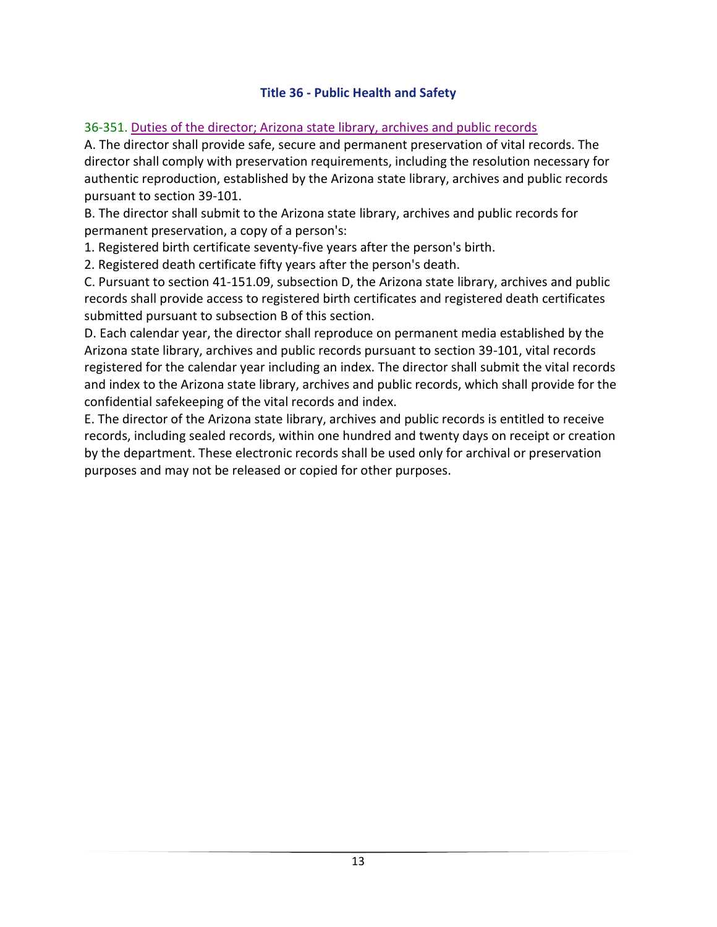### **Title 36 - Public Health and Safety**

### <span id="page-14-0"></span>36-351. Duties of the director; Arizona state library, archives and public records

A. The director shall provide safe, secure and permanent preservation of vital records. The director shall comply with preservation requirements, including the resolution necessary for authentic reproduction, established by the Arizona state library, archives and public records pursuant to section 39-101.

B. The director shall submit to the Arizona state library, archives and public records for permanent preservation, a copy of a person's:

1. Registered birth certificate seventy-five years after the person's birth.

2. Registered death certificate fifty years after the person's death.

C. Pursuant to section 41-151.09, subsection D, the Arizona state library, archives and public records shall provide access to registered birth certificates and registered death certificates submitted pursuant to subsection B of this section.

D. Each calendar year, the director shall reproduce on permanent media established by the Arizona state library, archives and public records pursuant to section 39-101, vital records registered for the calendar year including an index. The director shall submit the vital records and index to the Arizona state library, archives and public records, which shall provide for the confidential safekeeping of the vital records and index.

E. The director of the Arizona state library, archives and public records is entitled to receive records, including sealed records, within one hundred and twenty days on receipt or creation by the department. These electronic records shall be used only for archival or preservation purposes and may not be released or copied for other purposes.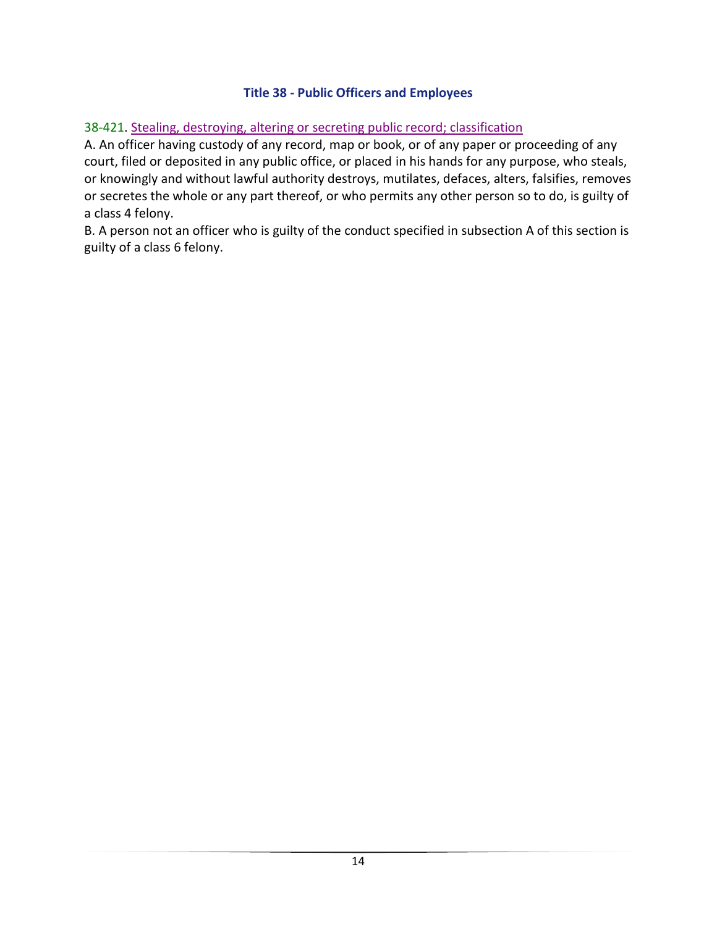### **Title 38 - Public Officers and Employees**

#### <span id="page-15-0"></span>38-421. Stealing, destroying, altering or secreting public record; classification

A. An officer having custody of any record, map or book, or of any paper or proceeding of any court, filed or deposited in any public office, or placed in his hands for any purpose, who steals, or knowingly and without lawful authority destroys, mutilates, defaces, alters, falsifies, removes or secretes the whole or any part thereof, or who permits any other person so to do, is guilty of a class 4 felony.

B. A person not an officer who is guilty of the conduct specified in subsection A of this section is guilty of a class 6 felony.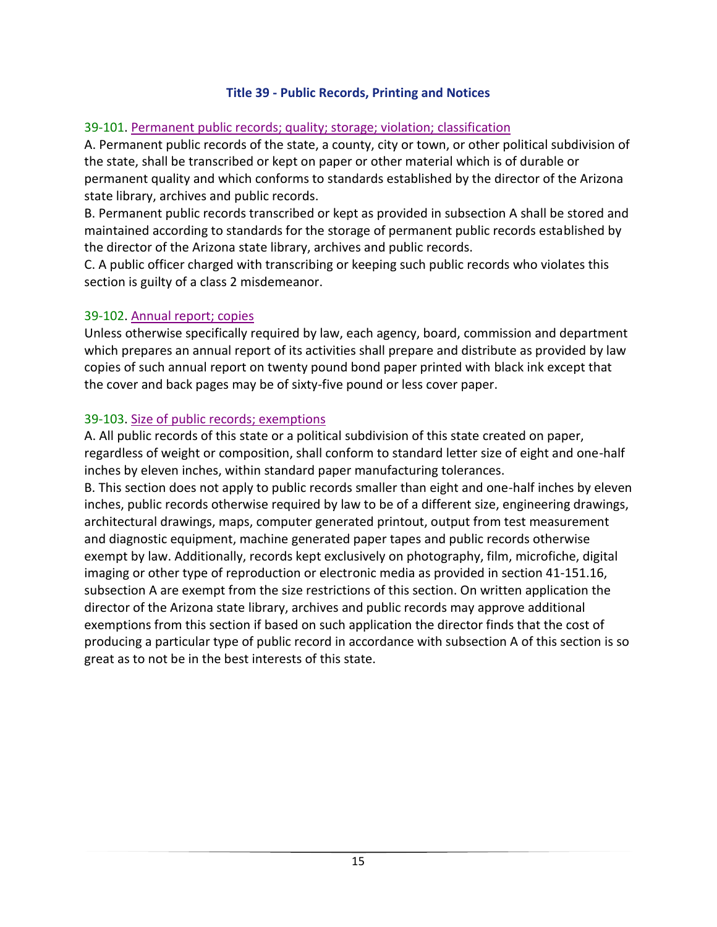#### **Title 39 - Public Records, Printing and Notices**

#### <span id="page-16-0"></span>39-101. Permanent public records; quality; storage; violation; classification

A. Permanent public records of the state, a county, city or town, or other political subdivision of the state, shall be transcribed or kept on paper or other material which is of durable or permanent quality and which conforms to standards established by the director of the Arizona state library, archives and public records.

B. Permanent public records transcribed or kept as provided in subsection A shall be stored and maintained according to standards for the storage of permanent public records established by the director of the Arizona state library, archives and public records.

C. A public officer charged with transcribing or keeping such public records who violates this section is guilty of a class 2 misdemeanor.

#### 39-102. Annual report; copies

Unless otherwise specifically required by law, each agency, board, commission and department which prepares an annual report of its activities shall prepare and distribute as provided by law copies of such annual report on twenty pound bond paper printed with black ink except that the cover and back pages may be of sixty-five pound or less cover paper.

#### 39-103. Size of public records; exemptions

A. All public records of this state or a political subdivision of this state created on paper, regardless of weight or composition, shall conform to standard letter size of eight and one-half inches by eleven inches, within standard paper manufacturing tolerances.

B. This section does not apply to public records smaller than eight and one-half inches by eleven inches, public records otherwise required by law to be of a different size, engineering drawings, architectural drawings, maps, computer generated printout, output from test measurement and diagnostic equipment, machine generated paper tapes and public records otherwise exempt by law. Additionally, records kept exclusively on photography, film, microfiche, digital imaging or other type of reproduction or electronic media as provided in section 41-151.16, subsection A are exempt from the size restrictions of this section. On written application the director of the Arizona state library, archives and public records may approve additional exemptions from this section if based on such application the director finds that the cost of producing a particular type of public record in accordance with subsection A of this section is so great as to not be in the best interests of this state.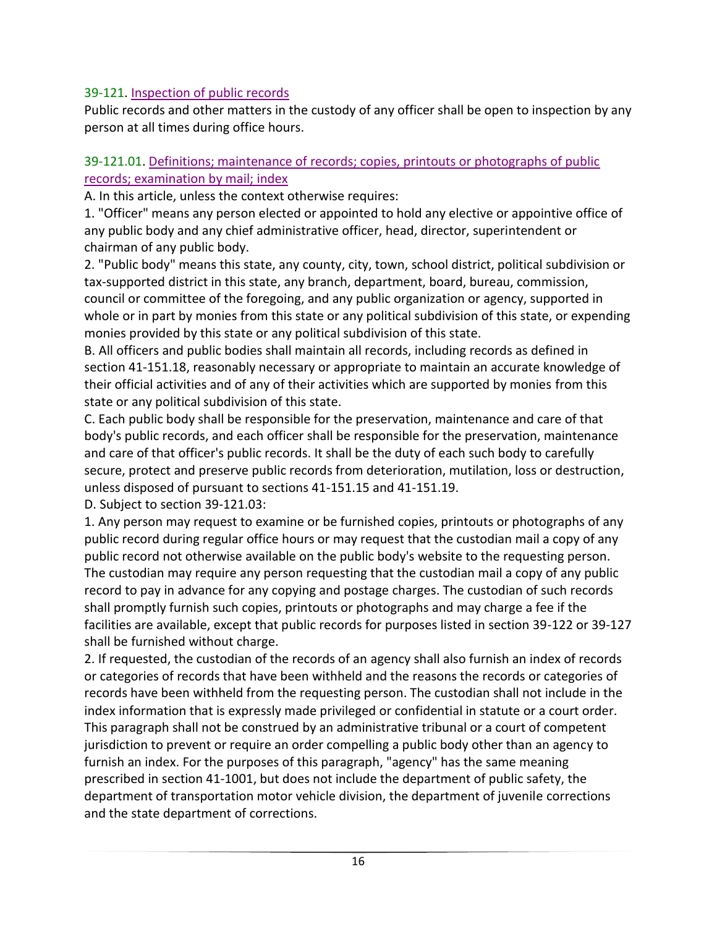### 39-121. Inspection of public records

Public records and other matters in the custody of any officer shall be open to inspection by any person at all times during office hours.

#### 39-121.01. Definitions; maintenance of records; copies, printouts or photographs of public records; examination by mail; index

A. In this article, unless the context otherwise requires:

1. "Officer" means any person elected or appointed to hold any elective or appointive office of any public body and any chief administrative officer, head, director, superintendent or chairman of any public body.

2. "Public body" means this state, any county, city, town, school district, political subdivision or tax-supported district in this state, any branch, department, board, bureau, commission, council or committee of the foregoing, and any public organization or agency, supported in whole or in part by monies from this state or any political subdivision of this state, or expending monies provided by this state or any political subdivision of this state.

B. All officers and public bodies shall maintain all records, including records as defined in section 41-151.18, reasonably necessary or appropriate to maintain an accurate knowledge of their official activities and of any of their activities which are supported by monies from this state or any political subdivision of this state.

C. Each public body shall be responsible for the preservation, maintenance and care of that body's public records, and each officer shall be responsible for the preservation, maintenance and care of that officer's public records. It shall be the duty of each such body to carefully secure, protect and preserve public records from deterioration, mutilation, loss or destruction, unless disposed of pursuant to sections 41-151.15 and 41-151.19.

D. Subject to section 39-121.03:

1. Any person may request to examine or be furnished copies, printouts or photographs of any public record during regular office hours or may request that the custodian mail a copy of any public record not otherwise available on the public body's website to the requesting person. The custodian may require any person requesting that the custodian mail a copy of any public record to pay in advance for any copying and postage charges. The custodian of such records shall promptly furnish such copies, printouts or photographs and may charge a fee if the facilities are available, except that public records for purposes listed in section 39-122 or 39-127 shall be furnished without charge.

2. If requested, the custodian of the records of an agency shall also furnish an index of records or categories of records that have been withheld and the reasons the records or categories of records have been withheld from the requesting person. The custodian shall not include in the index information that is expressly made privileged or confidential in statute or a court order. This paragraph shall not be construed by an administrative tribunal or a court of competent jurisdiction to prevent or require an order compelling a public body other than an agency to furnish an index. For the purposes of this paragraph, "agency" has the same meaning prescribed in section 41-1001, but does not include the department of public safety, the department of transportation motor vehicle division, the department of juvenile corrections and the state department of corrections.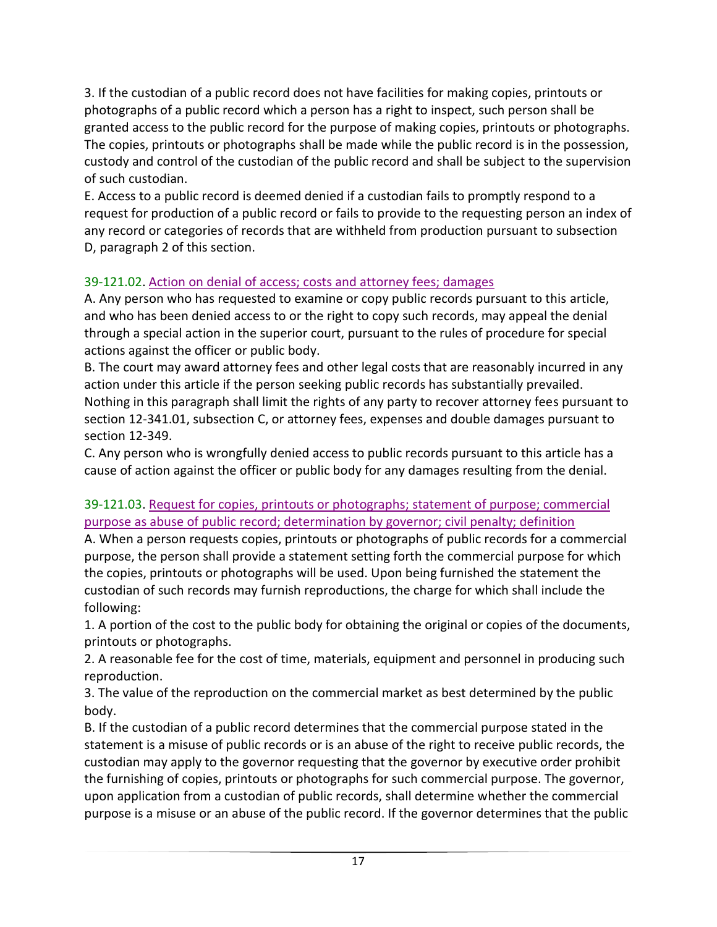3. If the custodian of a public record does not have facilities for making copies, printouts or photographs of a public record which a person has a right to inspect, such person shall be granted access to the public record for the purpose of making copies, printouts or photographs. The copies, printouts or photographs shall be made while the public record is in the possession, custody and control of the custodian of the public record and shall be subject to the supervision of such custodian.

E. Access to a public record is deemed denied if a custodian fails to promptly respond to a request for production of a public record or fails to provide to the requesting person an index of any record or categories of records that are withheld from production pursuant to subsection D, paragraph 2 of this section.

### 39-121.02. Action on denial of access; costs and attorney fees; damages

A. Any person who has requested to examine or copy public records pursuant to this article, and who has been denied access to or the right to copy such records, may appeal the denial through a special action in the superior court, pursuant to the rules of procedure for special actions against the officer or public body.

B. The court may award attorney fees and other legal costs that are reasonably incurred in any action under this article if the person seeking public records has substantially prevailed. Nothing in this paragraph shall limit the rights of any party to recover attorney fees pursuant to section 12-341.01, subsection C, or attorney fees, expenses and double damages pursuant to section 12-349.

C. Any person who is wrongfully denied access to public records pursuant to this article has a cause of action against the officer or public body for any damages resulting from the denial.

### 39-121.03. Request for copies, printouts or photographs; statement of purpose; commercial purpose as abuse of public record; determination by governor; civil penalty; definition

A. When a person requests copies, printouts or photographs of public records for a commercial purpose, the person shall provide a statement setting forth the commercial purpose for which the copies, printouts or photographs will be used. Upon being furnished the statement the custodian of such records may furnish reproductions, the charge for which shall include the following:

1. A portion of the cost to the public body for obtaining the original or copies of the documents, printouts or photographs.

2. A reasonable fee for the cost of time, materials, equipment and personnel in producing such reproduction.

3. The value of the reproduction on the commercial market as best determined by the public body.

B. If the custodian of a public record determines that the commercial purpose stated in the statement is a misuse of public records or is an abuse of the right to receive public records, the custodian may apply to the governor requesting that the governor by executive order prohibit the furnishing of copies, printouts or photographs for such commercial purpose. The governor, upon application from a custodian of public records, shall determine whether the commercial purpose is a misuse or an abuse of the public record. If the governor determines that the public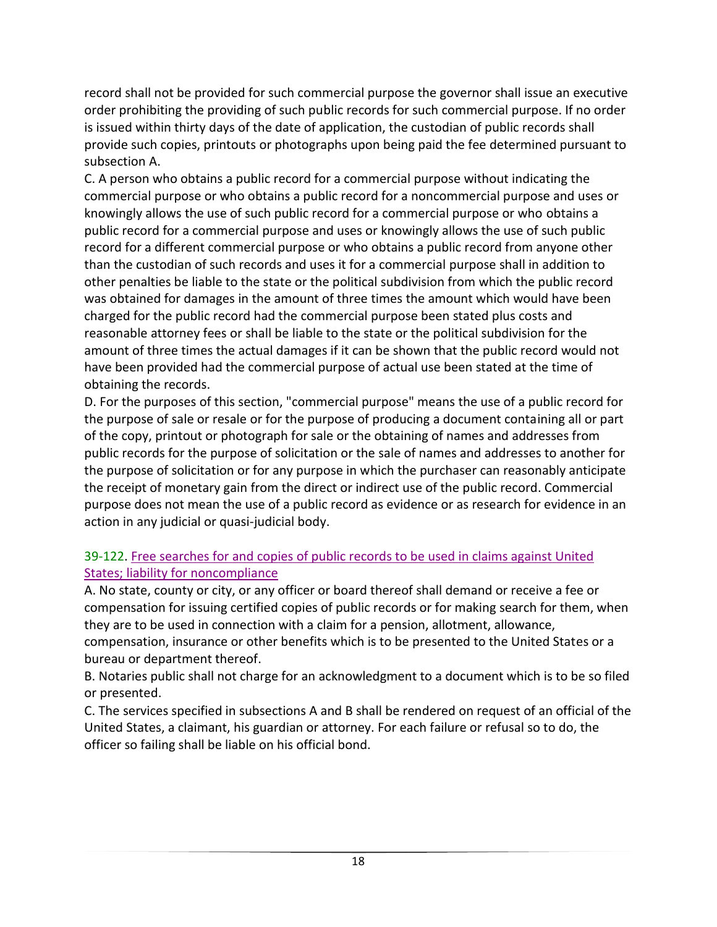record shall not be provided for such commercial purpose the governor shall issue an executive order prohibiting the providing of such public records for such commercial purpose. If no order is issued within thirty days of the date of application, the custodian of public records shall provide such copies, printouts or photographs upon being paid the fee determined pursuant to subsection A.

C. A person who obtains a public record for a commercial purpose without indicating the commercial purpose or who obtains a public record for a noncommercial purpose and uses or knowingly allows the use of such public record for a commercial purpose or who obtains a public record for a commercial purpose and uses or knowingly allows the use of such public record for a different commercial purpose or who obtains a public record from anyone other than the custodian of such records and uses it for a commercial purpose shall in addition to other penalties be liable to the state or the political subdivision from which the public record was obtained for damages in the amount of three times the amount which would have been charged for the public record had the commercial purpose been stated plus costs and reasonable attorney fees or shall be liable to the state or the political subdivision for the amount of three times the actual damages if it can be shown that the public record would not have been provided had the commercial purpose of actual use been stated at the time of obtaining the records.

D. For the purposes of this section, "commercial purpose" means the use of a public record for the purpose of sale or resale or for the purpose of producing a document containing all or part of the copy, printout or photograph for sale or the obtaining of names and addresses from public records for the purpose of solicitation or the sale of names and addresses to another for the purpose of solicitation or for any purpose in which the purchaser can reasonably anticipate the receipt of monetary gain from the direct or indirect use of the public record. Commercial purpose does not mean the use of a public record as evidence or as research for evidence in an action in any judicial or quasi-judicial body.

### 39-122. Free searches for and copies of public records to be used in claims against United States; liability for noncompliance

A. No state, county or city, or any officer or board thereof shall demand or receive a fee or compensation for issuing certified copies of public records or for making search for them, when they are to be used in connection with a claim for a pension, allotment, allowance, compensation, insurance or other benefits which is to be presented to the United States or a bureau or department thereof.

B. Notaries public shall not charge for an acknowledgment to a document which is to be so filed or presented.

C. The services specified in subsections A and B shall be rendered on request of an official of the United States, a claimant, his guardian or attorney. For each failure or refusal so to do, the officer so failing shall be liable on his official bond.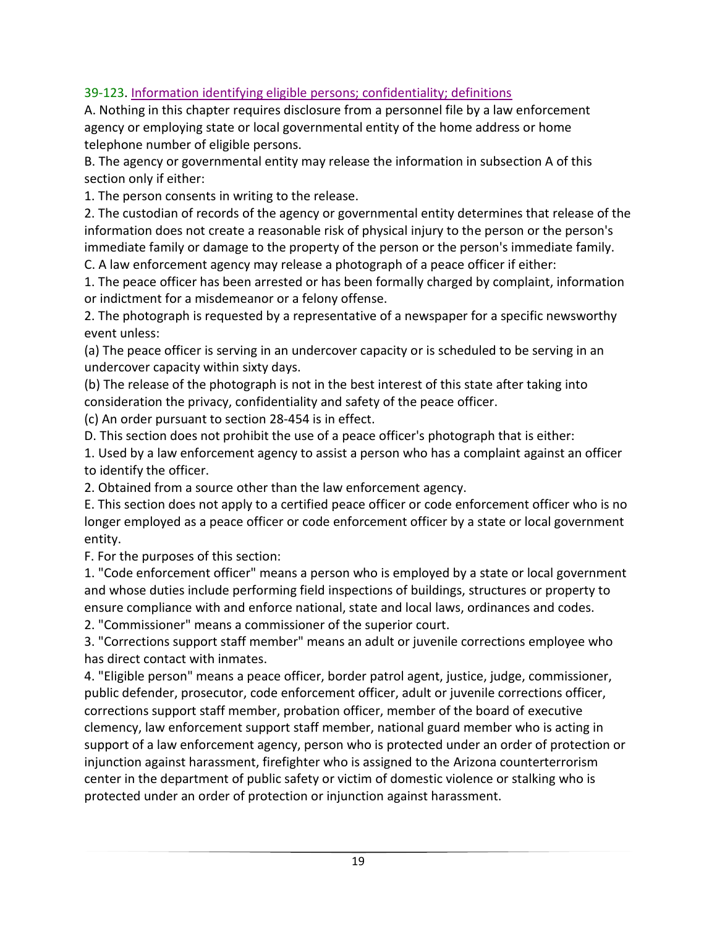### 39-123. Information identifying eligible persons; confidentiality; definitions

A. Nothing in this chapter requires disclosure from a personnel file by a law enforcement agency or employing state or local governmental entity of the home address or home telephone number of eligible persons.

B. The agency or governmental entity may release the information in subsection A of this section only if either:

1. The person consents in writing to the release.

2. The custodian of records of the agency or governmental entity determines that release of the information does not create a reasonable risk of physical injury to the person or the person's immediate family or damage to the property of the person or the person's immediate family.

C. A law enforcement agency may release a photograph of a peace officer if either:

1. The peace officer has been arrested or has been formally charged by complaint, information or indictment for a misdemeanor or a felony offense.

2. The photograph is requested by a representative of a newspaper for a specific newsworthy event unless:

(a) The peace officer is serving in an undercover capacity or is scheduled to be serving in an undercover capacity within sixty days.

(b) The release of the photograph is not in the best interest of this state after taking into consideration the privacy, confidentiality and safety of the peace officer.

(c) An order pursuant to section 28-454 is in effect.

D. This section does not prohibit the use of a peace officer's photograph that is either:

1. Used by a law enforcement agency to assist a person who has a complaint against an officer to identify the officer.

2. Obtained from a source other than the law enforcement agency.

E. This section does not apply to a certified peace officer or code enforcement officer who is no longer employed as a peace officer or code enforcement officer by a state or local government entity.

F. For the purposes of this section:

1. "Code enforcement officer" means a person who is employed by a state or local government and whose duties include performing field inspections of buildings, structures or property to ensure compliance with and enforce national, state and local laws, ordinances and codes.

2. "Commissioner" means a commissioner of the superior court.

3. "Corrections support staff member" means an adult or juvenile corrections employee who has direct contact with inmates.

4. "Eligible person" means a peace officer, border patrol agent, justice, judge, commissioner, public defender, prosecutor, code enforcement officer, adult or juvenile corrections officer, corrections support staff member, probation officer, member of the board of executive clemency, law enforcement support staff member, national guard member who is acting in support of a law enforcement agency, person who is protected under an order of protection or injunction against harassment, firefighter who is assigned to the Arizona counterterrorism center in the department of public safety or victim of domestic violence or stalking who is protected under an order of protection or injunction against harassment.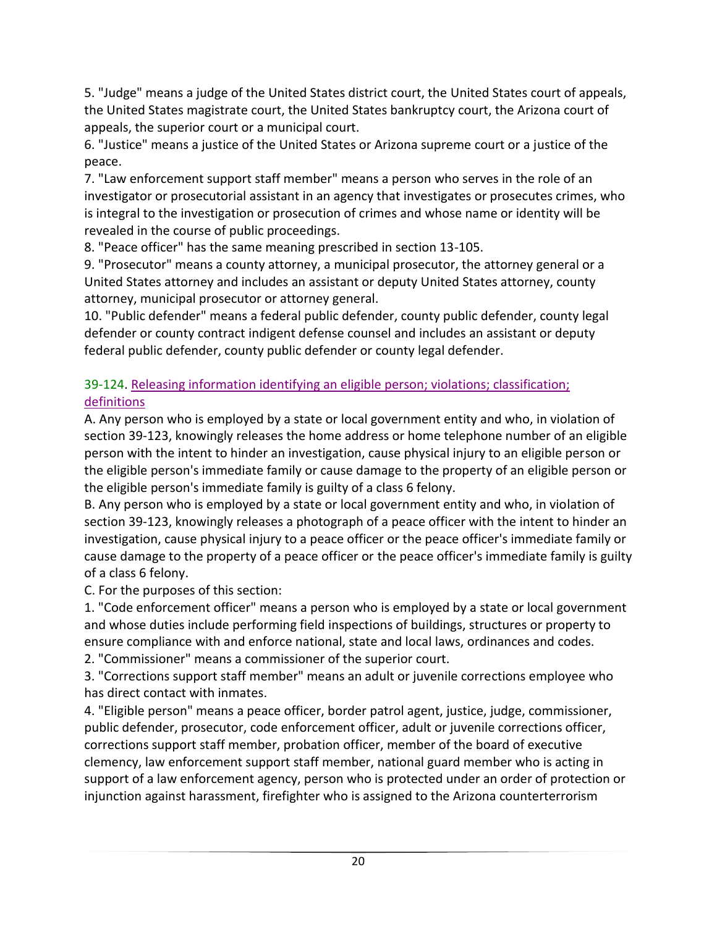5. "Judge" means a judge of the United States district court, the United States court of appeals, the United States magistrate court, the United States bankruptcy court, the Arizona court of appeals, the superior court or a municipal court.

6. "Justice" means a justice of the United States or Arizona supreme court or a justice of the peace.

7. "Law enforcement support staff member" means a person who serves in the role of an investigator or prosecutorial assistant in an agency that investigates or prosecutes crimes, who is integral to the investigation or prosecution of crimes and whose name or identity will be revealed in the course of public proceedings.

8. "Peace officer" has the same meaning prescribed in section 13-105.

9. "Prosecutor" means a county attorney, a municipal prosecutor, the attorney general or a United States attorney and includes an assistant or deputy United States attorney, county attorney, municipal prosecutor or attorney general.

10. "Public defender" means a federal public defender, county public defender, county legal defender or county contract indigent defense counsel and includes an assistant or deputy federal public defender, county public defender or county legal defender.

### 39-124. Releasing information identifying an eligible person; violations; classification; definitions

A. Any person who is employed by a state or local government entity and who, in violation of section 39-123, knowingly releases the home address or home telephone number of an eligible person with the intent to hinder an investigation, cause physical injury to an eligible person or the eligible person's immediate family or cause damage to the property of an eligible person or the eligible person's immediate family is guilty of a class 6 felony.

B. Any person who is employed by a state or local government entity and who, in violation of section 39-123, knowingly releases a photograph of a peace officer with the intent to hinder an investigation, cause physical injury to a peace officer or the peace officer's immediate family or cause damage to the property of a peace officer or the peace officer's immediate family is guilty of a class 6 felony.

C. For the purposes of this section:

1. "Code enforcement officer" means a person who is employed by a state or local government and whose duties include performing field inspections of buildings, structures or property to ensure compliance with and enforce national, state and local laws, ordinances and codes.

2. "Commissioner" means a commissioner of the superior court.

3. "Corrections support staff member" means an adult or juvenile corrections employee who has direct contact with inmates.

4. "Eligible person" means a peace officer, border patrol agent, justice, judge, commissioner, public defender, prosecutor, code enforcement officer, adult or juvenile corrections officer, corrections support staff member, probation officer, member of the board of executive clemency, law enforcement support staff member, national guard member who is acting in support of a law enforcement agency, person who is protected under an order of protection or injunction against harassment, firefighter who is assigned to the Arizona counterterrorism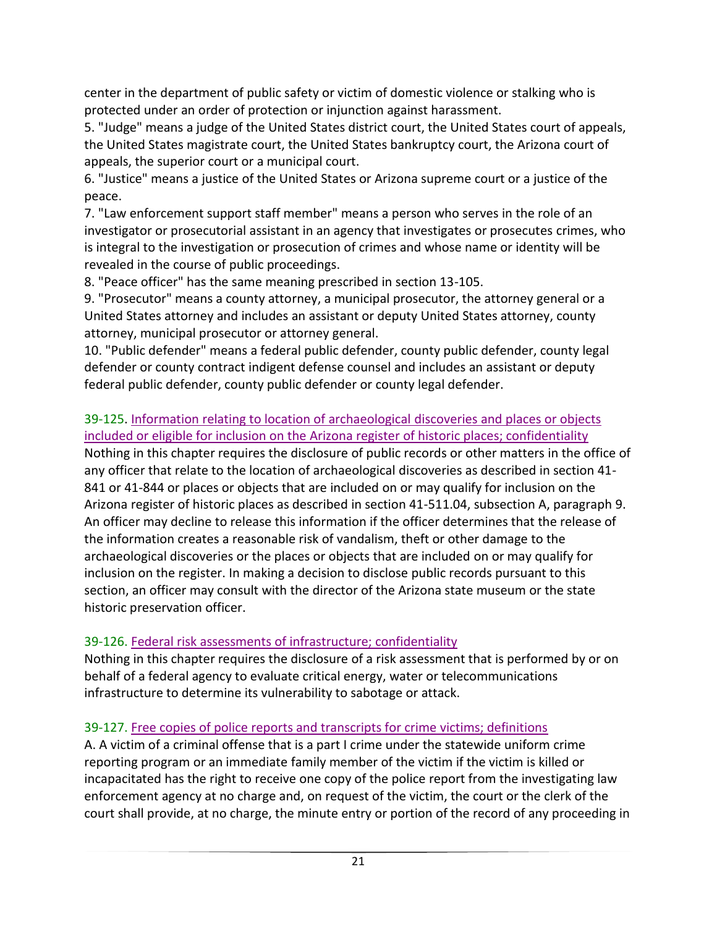center in the department of public safety or victim of domestic violence or stalking who is protected under an order of protection or injunction against harassment.

5. "Judge" means a judge of the United States district court, the United States court of appeals, the United States magistrate court, the United States bankruptcy court, the Arizona court of appeals, the superior court or a municipal court.

6. "Justice" means a justice of the United States or Arizona supreme court or a justice of the peace.

7. "Law enforcement support staff member" means a person who serves in the role of an investigator or prosecutorial assistant in an agency that investigates or prosecutes crimes, who is integral to the investigation or prosecution of crimes and whose name or identity will be revealed in the course of public proceedings.

8. "Peace officer" has the same meaning prescribed in section 13-105.

9. "Prosecutor" means a county attorney, a municipal prosecutor, the attorney general or a United States attorney and includes an assistant or deputy United States attorney, county attorney, municipal prosecutor or attorney general.

10. "Public defender" means a federal public defender, county public defender, county legal defender or county contract indigent defense counsel and includes an assistant or deputy federal public defender, county public defender or county legal defender.

#### 39-125. Information relating to location of archaeological discoveries and places or objects included or eligible for inclusion on the Arizona register of historic places; confidentiality

Nothing in this chapter requires the disclosure of public records or other matters in the office of any officer that relate to the location of archaeological discoveries as described in section 41- 841 or 41-844 or places or objects that are included on or may qualify for inclusion on the Arizona register of historic places as described in section 41-511.04, subsection A, paragraph 9. An officer may decline to release this information if the officer determines that the release of the information creates a reasonable risk of vandalism, theft or other damage to the archaeological discoveries or the places or objects that are included on or may qualify for inclusion on the register. In making a decision to disclose public records pursuant to this section, an officer may consult with the director of the Arizona state museum or the state historic preservation officer.

### 39-126. Federal risk assessments of infrastructure; confidentiality

Nothing in this chapter requires the disclosure of a risk assessment that is performed by or on behalf of a federal agency to evaluate critical energy, water or telecommunications infrastructure to determine its vulnerability to sabotage or attack.

### 39-127. Free copies of police reports and transcripts for crime victims; definitions

A. A victim of a criminal offense that is a part I crime under the statewide uniform crime reporting program or an immediate family member of the victim if the victim is killed or incapacitated has the right to receive one copy of the police report from the investigating law enforcement agency at no charge and, on request of the victim, the court or the clerk of the court shall provide, at no charge, the minute entry or portion of the record of any proceeding in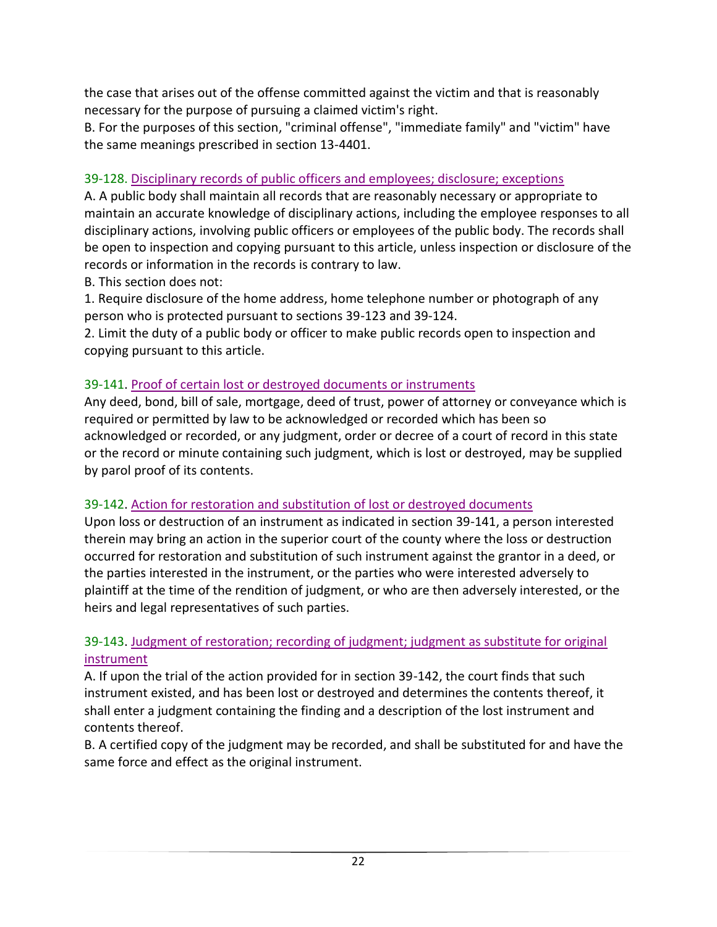the case that arises out of the offense committed against the victim and that is reasonably necessary for the purpose of pursuing a claimed victim's right.

B. For the purposes of this section, "criminal offense", "immediate family" and "victim" have the same meanings prescribed in section 13-4401.

### 39-128. Disciplinary records of public officers and employees; disclosure; exceptions

A. A public body shall maintain all records that are reasonably necessary or appropriate to maintain an accurate knowledge of disciplinary actions, including the employee responses to all disciplinary actions, involving public officers or employees of the public body. The records shall be open to inspection and copying pursuant to this article, unless inspection or disclosure of the records or information in the records is contrary to law.

B. This section does not:

1. Require disclosure of the home address, home telephone number or photograph of any person who is protected pursuant to sections 39-123 and 39-124.

2. Limit the duty of a public body or officer to make public records open to inspection and copying pursuant to this article.

### 39-141. Proof of certain lost or destroyed documents or instruments

Any deed, bond, bill of sale, mortgage, deed of trust, power of attorney or conveyance which is required or permitted by law to be acknowledged or recorded which has been so acknowledged or recorded, or any judgment, order or decree of a court of record in this state or the record or minute containing such judgment, which is lost or destroyed, may be supplied by parol proof of its contents.

### 39-142. Action for restoration and substitution of lost or destroyed documents

Upon loss or destruction of an instrument as indicated in section 39-141, a person interested therein may bring an action in the superior court of the county where the loss or destruction occurred for restoration and substitution of such instrument against the grantor in a deed, or the parties interested in the instrument, or the parties who were interested adversely to plaintiff at the time of the rendition of judgment, or who are then adversely interested, or the heirs and legal representatives of such parties.

### 39-143. Judgment of restoration; recording of judgment; judgment as substitute for original instrument

A. If upon the trial of the action provided for in section 39-142, the court finds that such instrument existed, and has been lost or destroyed and determines the contents thereof, it shall enter a judgment containing the finding and a description of the lost instrument and contents thereof.

B. A certified copy of the judgment may be recorded, and shall be substituted for and have the same force and effect as the original instrument.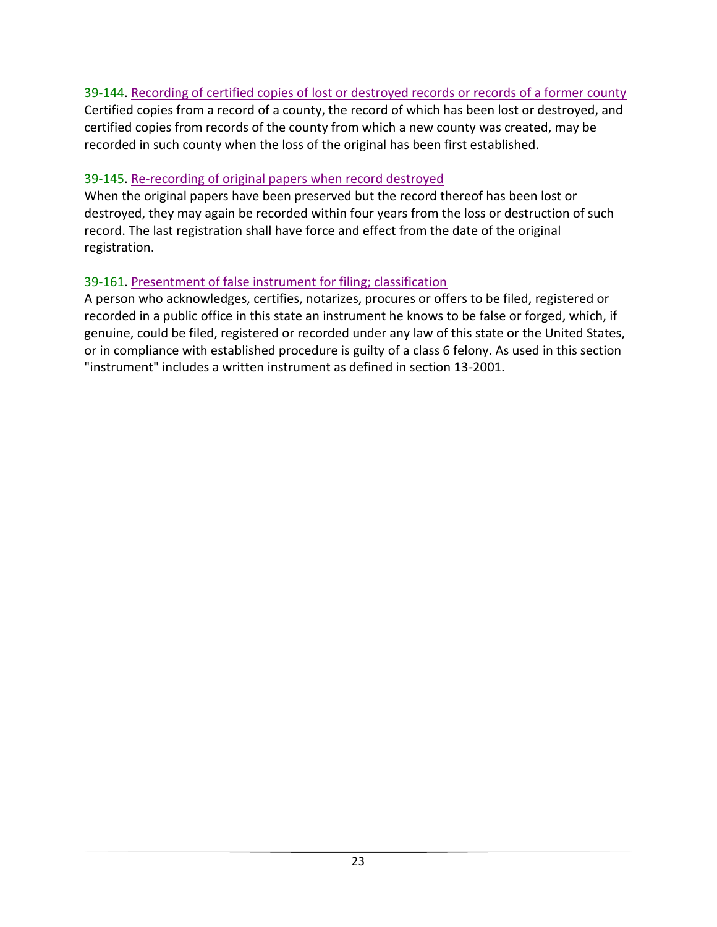### 39-144. Recording of certified copies of lost or destroyed records or records of a former county

Certified copies from a record of a county, the record of which has been lost or destroyed, and certified copies from records of the county from which a new county was created, may be recorded in such county when the loss of the original has been first established.

#### 39-145. Re-recording of original papers when record destroyed

When the original papers have been preserved but the record thereof has been lost or destroyed, they may again be recorded within four years from the loss or destruction of such record. The last registration shall have force and effect from the date of the original registration.

#### 39-161. Presentment of false instrument for filing; classification

A person who acknowledges, certifies, notarizes, procures or offers to be filed, registered or recorded in a public office in this state an instrument he knows to be false or forged, which, if genuine, could be filed, registered or recorded under any law of this state or the United States, or in compliance with established procedure is guilty of a class 6 felony. As used in this section "instrument" includes a written instrument as defined in section 13-2001.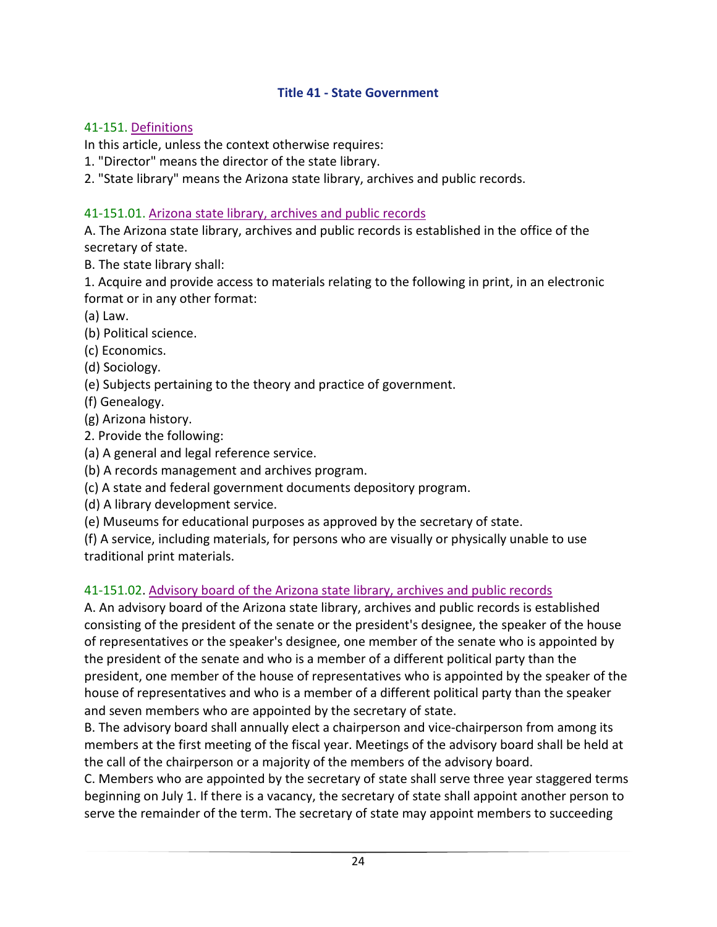#### **Title 41 - State Government**

#### <span id="page-25-0"></span>41-151. Definitions

In this article, unless the context otherwise requires:

1. "Director" means the director of the state library.

2. "State library" means the Arizona state library, archives and public records.

#### 41-151.01. Arizona state library, archives and public records

A. The Arizona state library, archives and public records is established in the office of the secretary of state.

B. The state library shall:

1. Acquire and provide access to materials relating to the following in print, in an electronic format or in any other format:

- (a) Law.
- (b) Political science.
- (c) Economics.
- (d) Sociology.
- (e) Subjects pertaining to the theory and practice of government.
- (f) Genealogy.
- (g) Arizona history.
- 2. Provide the following:
- (a) A general and legal reference service.
- (b) A records management and archives program.
- (c) A state and federal government documents depository program.
- (d) A library development service.
- (e) Museums for educational purposes as approved by the secretary of state.
- (f) A service, including materials, for persons who are visually or physically unable to use
- traditional print materials.

### 41-151.02. Advisory board of the Arizona state library, archives and public records

A. An advisory board of the Arizona state library, archives and public records is established consisting of the president of the senate or the president's designee, the speaker of the house of representatives or the speaker's designee, one member of the senate who is appointed by the president of the senate and who is a member of a different political party than the president, one member of the house of representatives who is appointed by the speaker of the house of representatives and who is a member of a different political party than the speaker and seven members who are appointed by the secretary of state.

B. The advisory board shall annually elect a chairperson and vice-chairperson from among its members at the first meeting of the fiscal year. Meetings of the advisory board shall be held at the call of the chairperson or a majority of the members of the advisory board.

C. Members who are appointed by the secretary of state shall serve three year staggered terms beginning on July 1. If there is a vacancy, the secretary of state shall appoint another person to serve the remainder of the term. The secretary of state may appoint members to succeeding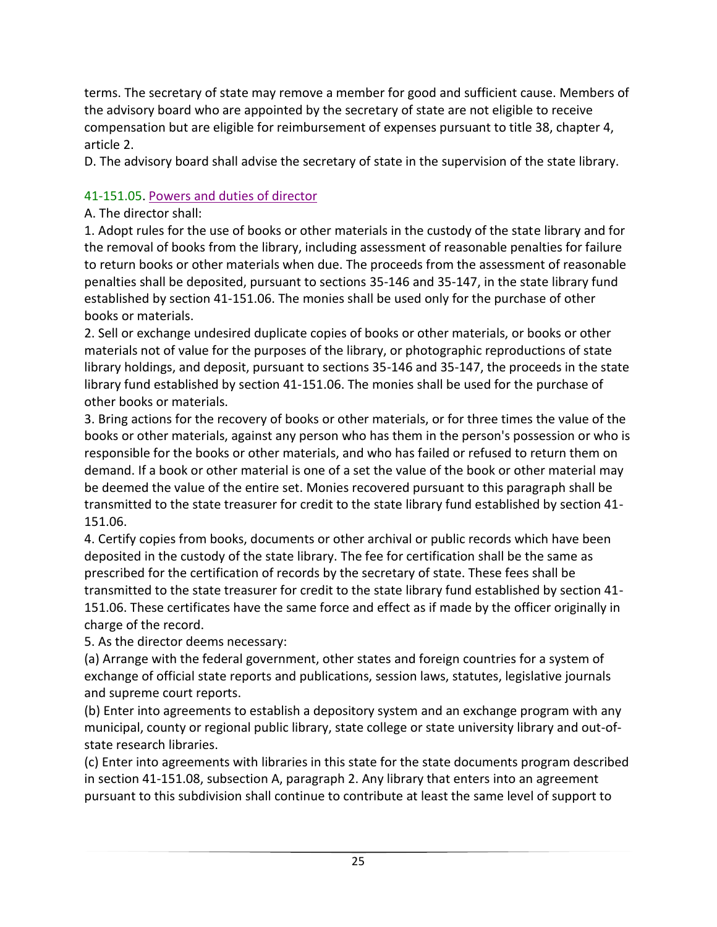terms. The secretary of state may remove a member for good and sufficient cause. Members of the advisory board who are appointed by the secretary of state are not eligible to receive compensation but are eligible for reimbursement of expenses pursuant to title 38, chapter 4, article 2.

D. The advisory board shall advise the secretary of state in the supervision of the state library.

### 41-151.05. Powers and duties of director

### A. The director shall:

1. Adopt rules for the use of books or other materials in the custody of the state library and for the removal of books from the library, including assessment of reasonable penalties for failure to return books or other materials when due. The proceeds from the assessment of reasonable penalties shall be deposited, pursuant to sections 35-146 and 35-147, in the state library fund established by section 41-151.06. The monies shall be used only for the purchase of other books or materials.

2. Sell or exchange undesired duplicate copies of books or other materials, or books or other materials not of value for the purposes of the library, or photographic reproductions of state library holdings, and deposit, pursuant to sections 35-146 and 35-147, the proceeds in the state library fund established by section 41-151.06. The monies shall be used for the purchase of other books or materials.

3. Bring actions for the recovery of books or other materials, or for three times the value of the books or other materials, against any person who has them in the person's possession or who is responsible for the books or other materials, and who has failed or refused to return them on demand. If a book or other material is one of a set the value of the book or other material may be deemed the value of the entire set. Monies recovered pursuant to this paragraph shall be transmitted to the state treasurer for credit to the state library fund established by section 41- 151.06.

4. Certify copies from books, documents or other archival or public records which have been deposited in the custody of the state library. The fee for certification shall be the same as prescribed for the certification of records by the secretary of state. These fees shall be transmitted to the state treasurer for credit to the state library fund established by section 41- 151.06. These certificates have the same force and effect as if made by the officer originally in charge of the record.

5. As the director deems necessary:

(a) Arrange with the federal government, other states and foreign countries for a system of exchange of official state reports and publications, session laws, statutes, legislative journals and supreme court reports.

(b) Enter into agreements to establish a depository system and an exchange program with any municipal, county or regional public library, state college or state university library and out-ofstate research libraries.

(c) Enter into agreements with libraries in this state for the state documents program described in section 41-151.08, subsection A, paragraph 2. Any library that enters into an agreement pursuant to this subdivision shall continue to contribute at least the same level of support to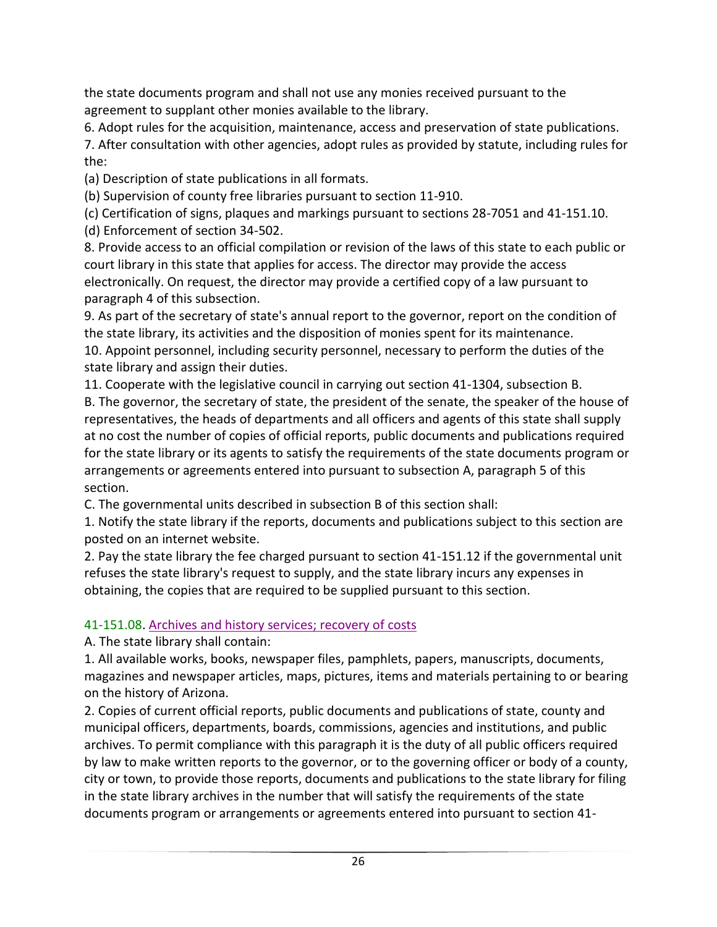the state documents program and shall not use any monies received pursuant to the agreement to supplant other monies available to the library.

6. Adopt rules for the acquisition, maintenance, access and preservation of state publications.

7. After consultation with other agencies, adopt rules as provided by statute, including rules for the:

(a) Description of state publications in all formats.

(b) Supervision of county free libraries pursuant to section 11-910.

(c) Certification of signs, plaques and markings pursuant to sections 28-7051 and 41-151.10. (d) Enforcement of section 34-502.

8. Provide access to an official compilation or revision of the laws of this state to each public or court library in this state that applies for access. The director may provide the access electronically. On request, the director may provide a certified copy of a law pursuant to paragraph 4 of this subsection.

9. As part of the secretary of state's annual report to the governor, report on the condition of the state library, its activities and the disposition of monies spent for its maintenance. 10. Appoint personnel, including security personnel, necessary to perform the duties of the state library and assign their duties.

11. Cooperate with the legislative council in carrying out section 41-1304, subsection B. B. The governor, the secretary of state, the president of the senate, the speaker of the house of representatives, the heads of departments and all officers and agents of this state shall supply at no cost the number of copies of official reports, public documents and publications required for the state library or its agents to satisfy the requirements of the state documents program or arrangements or agreements entered into pursuant to subsection A, paragraph 5 of this section.

C. The governmental units described in subsection B of this section shall:

1. Notify the state library if the reports, documents and publications subject to this section are posted on an internet website.

2. Pay the state library the fee charged pursuant to section 41-151.12 if the governmental unit refuses the state library's request to supply, and the state library incurs any expenses in obtaining, the copies that are required to be supplied pursuant to this section.

# 41-151.08. Archives and history services; recovery of costs

A. The state library shall contain:

1. All available works, books, newspaper files, pamphlets, papers, manuscripts, documents, magazines and newspaper articles, maps, pictures, items and materials pertaining to or bearing on the history of Arizona.

2. Copies of current official reports, public documents and publications of state, county and municipal officers, departments, boards, commissions, agencies and institutions, and public archives. To permit compliance with this paragraph it is the duty of all public officers required by law to make written reports to the governor, or to the governing officer or body of a county, city or town, to provide those reports, documents and publications to the state library for filing in the state library archives in the number that will satisfy the requirements of the state documents program or arrangements or agreements entered into pursuant to section 41-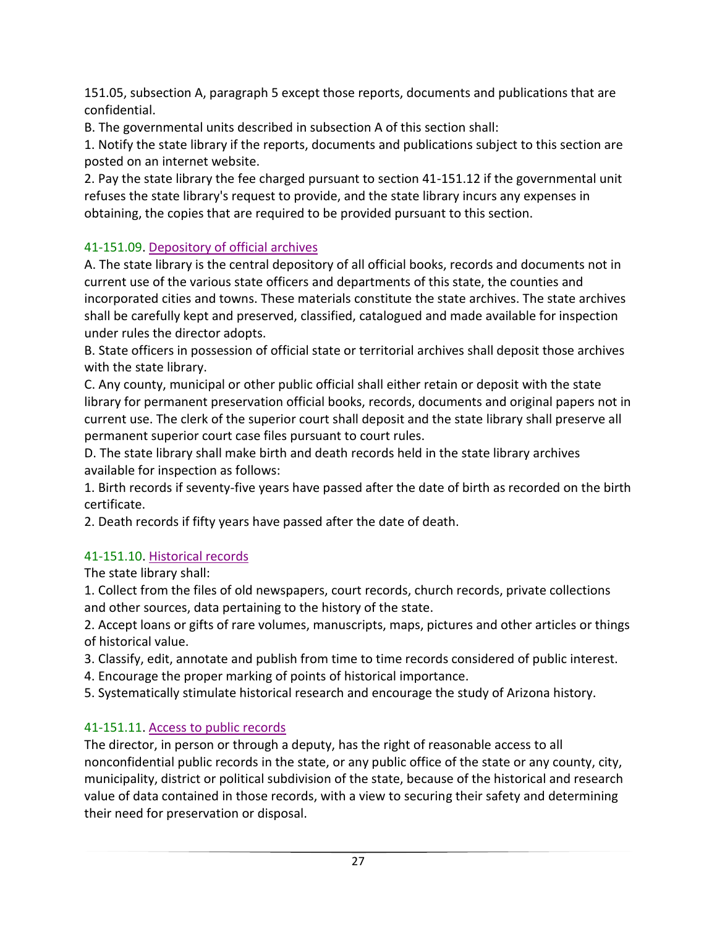151.05, subsection A, paragraph 5 except those reports, documents and publications that are confidential.

B. The governmental units described in subsection A of this section shall:

1. Notify the state library if the reports, documents and publications subject to this section are posted on an internet website.

2. Pay the state library the fee charged pursuant to section 41-151.12 if the governmental unit refuses the state library's request to provide, and the state library incurs any expenses in obtaining, the copies that are required to be provided pursuant to this section.

### 41-151.09. Depository of official archives

A. The state library is the central depository of all official books, records and documents not in current use of the various state officers and departments of this state, the counties and incorporated cities and towns. These materials constitute the state archives. The state archives shall be carefully kept and preserved, classified, catalogued and made available for inspection under rules the director adopts.

B. State officers in possession of official state or territorial archives shall deposit those archives with the state library.

C. Any county, municipal or other public official shall either retain or deposit with the state library for permanent preservation official books, records, documents and original papers not in current use. The clerk of the superior court shall deposit and the state library shall preserve all permanent superior court case files pursuant to court rules.

D. The state library shall make birth and death records held in the state library archives available for inspection as follows:

1. Birth records if seventy-five years have passed after the date of birth as recorded on the birth certificate.

2. Death records if fifty years have passed after the date of death.

### 41-151.10. Historical records

The state library shall:

1. Collect from the files of old newspapers, court records, church records, private collections and other sources, data pertaining to the history of the state.

2. Accept loans or gifts of rare volumes, manuscripts, maps, pictures and other articles or things of historical value.

- 3. Classify, edit, annotate and publish from time to time records considered of public interest.
- 4. Encourage the proper marking of points of historical importance.
- 5. Systematically stimulate historical research and encourage the study of Arizona history.

# 41-151.11. Access to public records

The director, in person or through a deputy, has the right of reasonable access to all nonconfidential public records in the state, or any public office of the state or any county, city, municipality, district or political subdivision of the state, because of the historical and research value of data contained in those records, with a view to securing their safety and determining their need for preservation or disposal.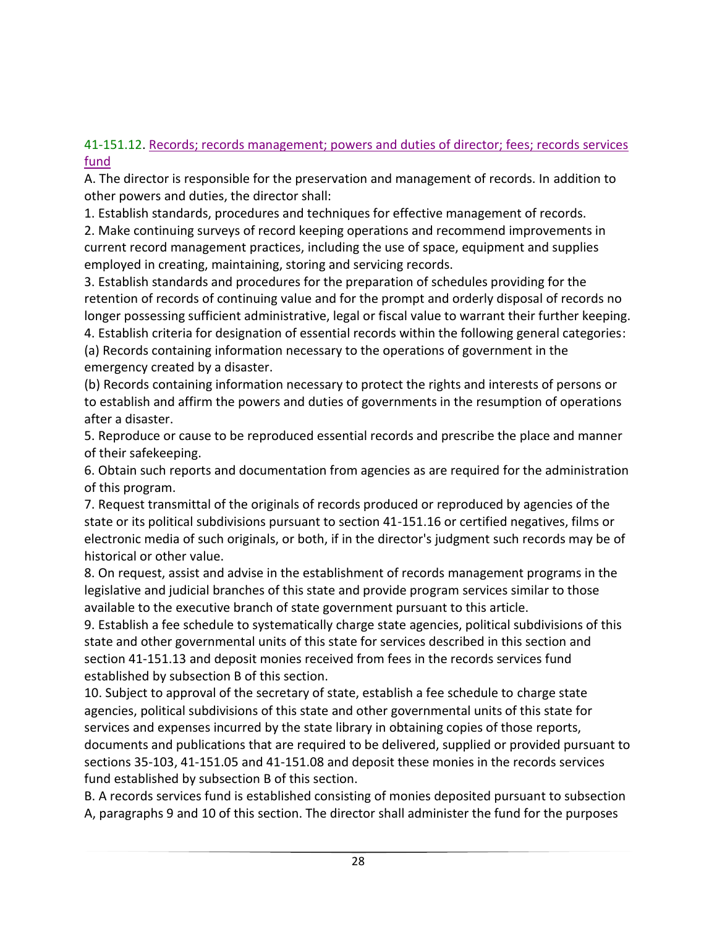41-151.12. Records; records management; powers and duties of director; fees; records services fund

A. The director is responsible for the preservation and management of records. In addition to other powers and duties, the director shall:

1. Establish standards, procedures and techniques for effective management of records.

2. Make continuing surveys of record keeping operations and recommend improvements in current record management practices, including the use of space, equipment and supplies employed in creating, maintaining, storing and servicing records.

3. Establish standards and procedures for the preparation of schedules providing for the retention of records of continuing value and for the prompt and orderly disposal of records no longer possessing sufficient administrative, legal or fiscal value to warrant their further keeping. 4. Establish criteria for designation of essential records within the following general categories:

(a) Records containing information necessary to the operations of government in the emergency created by a disaster.

(b) Records containing information necessary to protect the rights and interests of persons or to establish and affirm the powers and duties of governments in the resumption of operations after a disaster.

5. Reproduce or cause to be reproduced essential records and prescribe the place and manner of their safekeeping.

6. Obtain such reports and documentation from agencies as are required for the administration of this program.

7. Request transmittal of the originals of records produced or reproduced by agencies of the state or its political subdivisions pursuant to section 41-151.16 or certified negatives, films or electronic media of such originals, or both, if in the director's judgment such records may be of historical or other value.

8. On request, assist and advise in the establishment of records management programs in the legislative and judicial branches of this state and provide program services similar to those available to the executive branch of state government pursuant to this article.

9. Establish a fee schedule to systematically charge state agencies, political subdivisions of this state and other governmental units of this state for services described in this section and section 41-151.13 and deposit monies received from fees in the records services fund established by subsection B of this section.

10. Subject to approval of the secretary of state, establish a fee schedule to charge state agencies, political subdivisions of this state and other governmental units of this state for services and expenses incurred by the state library in obtaining copies of those reports, documents and publications that are required to be delivered, supplied or provided pursuant to sections 35-103, 41-151.05 and 41-151.08 and deposit these monies in the records services fund established by subsection B of this section.

B. A records services fund is established consisting of monies deposited pursuant to subsection A, paragraphs 9 and 10 of this section. The director shall administer the fund for the purposes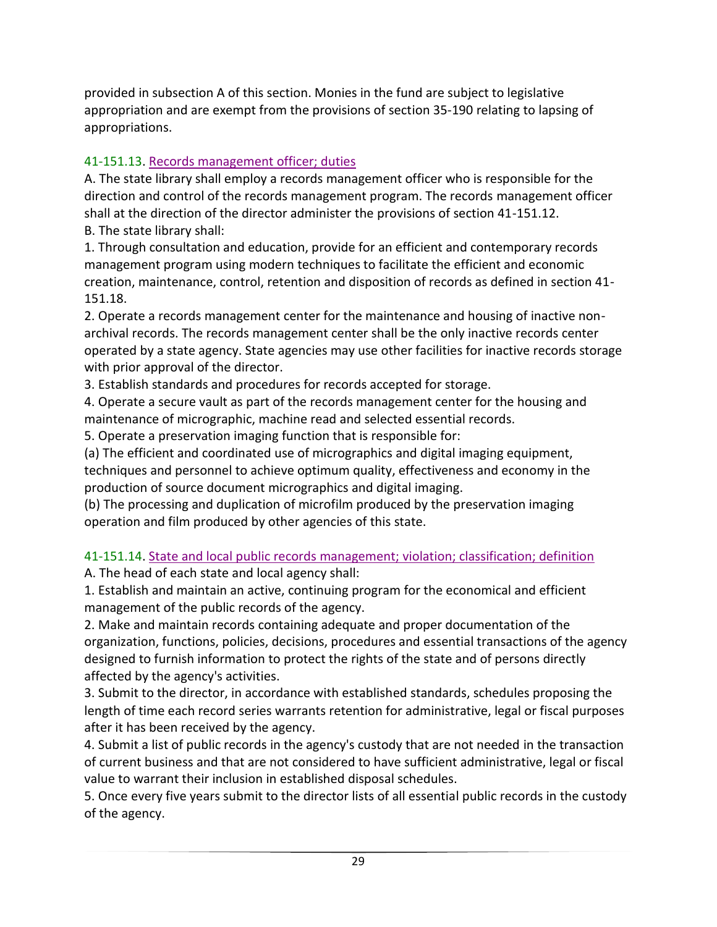provided in subsection A of this section. Monies in the fund are subject to legislative appropriation and are exempt from the provisions of section 35-190 relating to lapsing of appropriations.

### 41-151.13. Records management officer; duties

A. The state library shall employ a records management officer who is responsible for the direction and control of the records management program. The records management officer shall at the direction of the director administer the provisions of section 41-151.12. B. The state library shall:

1. Through consultation and education, provide for an efficient and contemporary records management program using modern techniques to facilitate the efficient and economic creation, maintenance, control, retention and disposition of records as defined in section 41- 151.18.

2. Operate a records management center for the maintenance and housing of inactive nonarchival records. The records management center shall be the only inactive records center operated by a state agency. State agencies may use other facilities for inactive records storage with prior approval of the director.

3. Establish standards and procedures for records accepted for storage.

4. Operate a secure vault as part of the records management center for the housing and maintenance of micrographic, machine read and selected essential records.

5. Operate a preservation imaging function that is responsible for:

(a) The efficient and coordinated use of micrographics and digital imaging equipment, techniques and personnel to achieve optimum quality, effectiveness and economy in the production of source document micrographics and digital imaging.

(b) The processing and duplication of microfilm produced by the preservation imaging operation and film produced by other agencies of this state.

# 41-151.14. State and local public records management; violation; classification; definition

A. The head of each state and local agency shall:

1. Establish and maintain an active, continuing program for the economical and efficient management of the public records of the agency.

2. Make and maintain records containing adequate and proper documentation of the organization, functions, policies, decisions, procedures and essential transactions of the agency designed to furnish information to protect the rights of the state and of persons directly affected by the agency's activities.

3. Submit to the director, in accordance with established standards, schedules proposing the length of time each record series warrants retention for administrative, legal or fiscal purposes after it has been received by the agency.

4. Submit a list of public records in the agency's custody that are not needed in the transaction of current business and that are not considered to have sufficient administrative, legal or fiscal value to warrant their inclusion in established disposal schedules.

5. Once every five years submit to the director lists of all essential public records in the custody of the agency.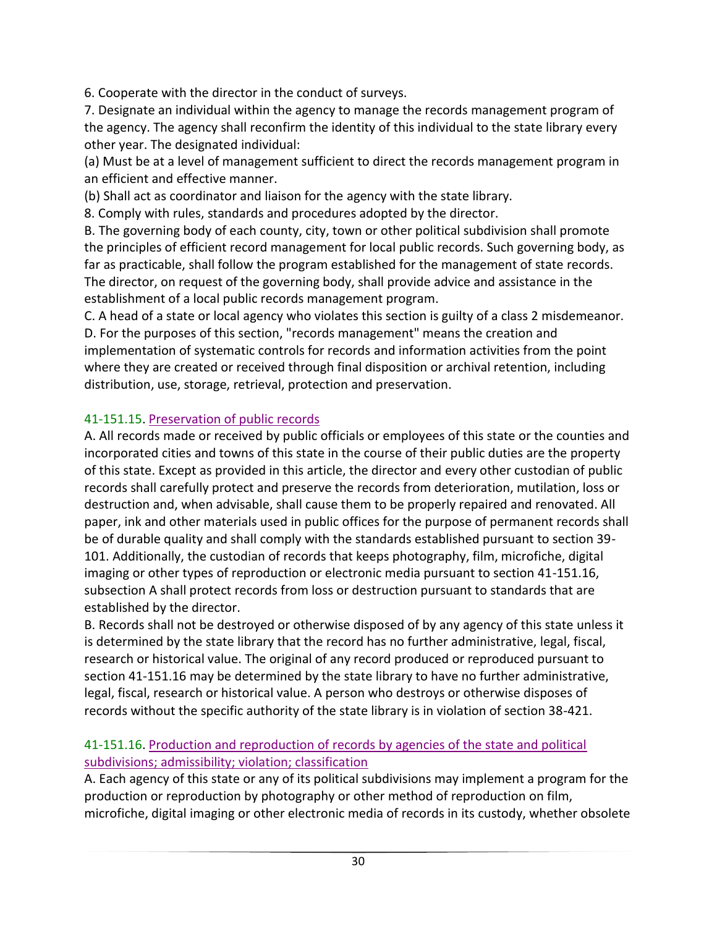6. Cooperate with the director in the conduct of surveys.

7. Designate an individual within the agency to manage the records management program of the agency. The agency shall reconfirm the identity of this individual to the state library every other year. The designated individual:

(a) Must be at a level of management sufficient to direct the records management program in an efficient and effective manner.

(b) Shall act as coordinator and liaison for the agency with the state library.

8. Comply with rules, standards and procedures adopted by the director.

B. The governing body of each county, city, town or other political subdivision shall promote the principles of efficient record management for local public records. Such governing body, as far as practicable, shall follow the program established for the management of state records. The director, on request of the governing body, shall provide advice and assistance in the establishment of a local public records management program.

C. A head of a state or local agency who violates this section is guilty of a class 2 misdemeanor. D. For the purposes of this section, "records management" means the creation and implementation of systematic controls for records and information activities from the point where they are created or received through final disposition or archival retention, including distribution, use, storage, retrieval, protection and preservation.

### 41-151.15. Preservation of public records

A. All records made or received by public officials or employees of this state or the counties and incorporated cities and towns of this state in the course of their public duties are the property of this state. Except as provided in this article, the director and every other custodian of public records shall carefully protect and preserve the records from deterioration, mutilation, loss or destruction and, when advisable, shall cause them to be properly repaired and renovated. All paper, ink and other materials used in public offices for the purpose of permanent records shall be of durable quality and shall comply with the standards established pursuant to section 39- 101. Additionally, the custodian of records that keeps photography, film, microfiche, digital imaging or other types of reproduction or electronic media pursuant to section 41-151.16, subsection A shall protect records from loss or destruction pursuant to standards that are established by the director.

B. Records shall not be destroyed or otherwise disposed of by any agency of this state unless it is determined by the state library that the record has no further administrative, legal, fiscal, research or historical value. The original of any record produced or reproduced pursuant to section 41-151.16 may be determined by the state library to have no further administrative, legal, fiscal, research or historical value. A person who destroys or otherwise disposes of records without the specific authority of the state library is in violation of section 38-421.

### 41-151.16. Production and reproduction of records by agencies of the state and political subdivisions; admissibility; violation; classification

A. Each agency of this state or any of its political subdivisions may implement a program for the production or reproduction by photography or other method of reproduction on film, microfiche, digital imaging or other electronic media of records in its custody, whether obsolete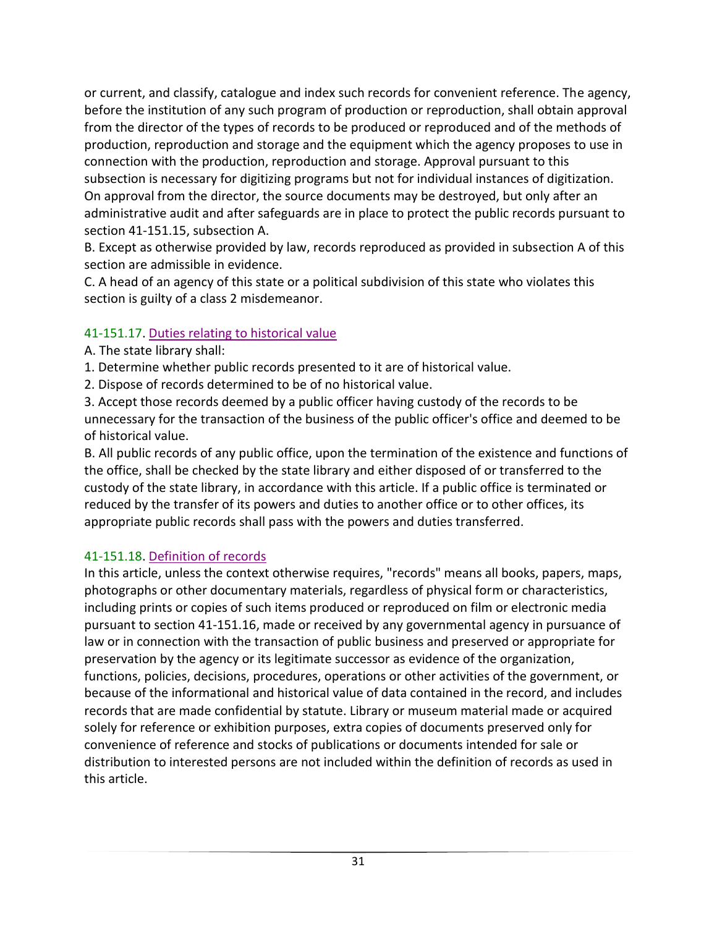or current, and classify, catalogue and index such records for convenient reference. The agency, before the institution of any such program of production or reproduction, shall obtain approval from the director of the types of records to be produced or reproduced and of the methods of production, reproduction and storage and the equipment which the agency proposes to use in connection with the production, reproduction and storage. Approval pursuant to this subsection is necessary for digitizing programs but not for individual instances of digitization. On approval from the director, the source documents may be destroyed, but only after an administrative audit and after safeguards are in place to protect the public records pursuant to section 41-151.15, subsection A.

B. Except as otherwise provided by law, records reproduced as provided in subsection A of this section are admissible in evidence.

C. A head of an agency of this state or a political subdivision of this state who violates this section is guilty of a class 2 misdemeanor.

### 41-151.17. Duties relating to historical value

- A. The state library shall:
- 1. Determine whether public records presented to it are of historical value.
- 2. Dispose of records determined to be of no historical value.

3. Accept those records deemed by a public officer having custody of the records to be unnecessary for the transaction of the business of the public officer's office and deemed to be of historical value.

B. All public records of any public office, upon the termination of the existence and functions of the office, shall be checked by the state library and either disposed of or transferred to the custody of the state library, in accordance with this article. If a public office is terminated or reduced by the transfer of its powers and duties to another office or to other offices, its appropriate public records shall pass with the powers and duties transferred.

# 41-151.18. Definition of records

In this article, unless the context otherwise requires, "records" means all books, papers, maps, photographs or other documentary materials, regardless of physical form or characteristics, including prints or copies of such items produced or reproduced on film or electronic media pursuant to section 41-151.16, made or received by any governmental agency in pursuance of law or in connection with the transaction of public business and preserved or appropriate for preservation by the agency or its legitimate successor as evidence of the organization, functions, policies, decisions, procedures, operations or other activities of the government, or because of the informational and historical value of data contained in the record, and includes records that are made confidential by statute. Library or museum material made or acquired solely for reference or exhibition purposes, extra copies of documents preserved only for convenience of reference and stocks of publications or documents intended for sale or distribution to interested persons are not included within the definition of records as used in this article.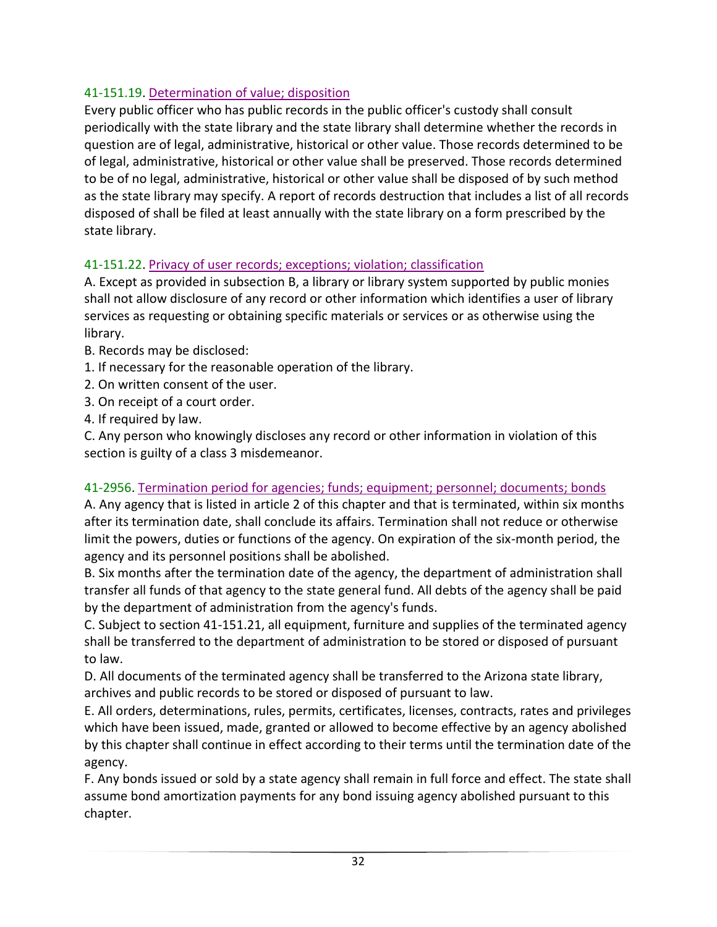### 41-151.19. Determination of value; disposition

Every public officer who has public records in the public officer's custody shall consult periodically with the state library and the state library shall determine whether the records in question are of legal, administrative, historical or other value. Those records determined to be of legal, administrative, historical or other value shall be preserved. Those records determined to be of no legal, administrative, historical or other value shall be disposed of by such method as the state library may specify. A report of records destruction that includes a list of all records disposed of shall be filed at least annually with the state library on a form prescribed by the state library.

### 41-151.22. Privacy of user records; exceptions; violation; classification

A. Except as provided in subsection B, a library or library system supported by public monies shall not allow disclosure of any record or other information which identifies a user of library services as requesting or obtaining specific materials or services or as otherwise using the library.

- B. Records may be disclosed:
- 1. If necessary for the reasonable operation of the library.
- 2. On written consent of the user.
- 3. On receipt of a court order.
- 4. If required by law.

C. Any person who knowingly discloses any record or other information in violation of this section is guilty of a class 3 misdemeanor.

### 41-2956. Termination period for agencies; funds; equipment; personnel; documents; bonds

A. Any agency that is listed in article 2 of this chapter and that is terminated, within six months after its termination date, shall conclude its affairs. Termination shall not reduce or otherwise limit the powers, duties or functions of the agency. On expiration of the six-month period, the agency and its personnel positions shall be abolished.

B. Six months after the termination date of the agency, the department of administration shall transfer all funds of that agency to the state general fund. All debts of the agency shall be paid by the department of administration from the agency's funds.

C. Subject to section 41-151.21, all equipment, furniture and supplies of the terminated agency shall be transferred to the department of administration to be stored or disposed of pursuant to law.

D. All documents of the terminated agency shall be transferred to the Arizona state library, archives and public records to be stored or disposed of pursuant to law.

E. All orders, determinations, rules, permits, certificates, licenses, contracts, rates and privileges which have been issued, made, granted or allowed to become effective by an agency abolished by this chapter shall continue in effect according to their terms until the termination date of the agency.

F. Any bonds issued or sold by a state agency shall remain in full force and effect. The state shall assume bond amortization payments for any bond issuing agency abolished pursuant to this chapter.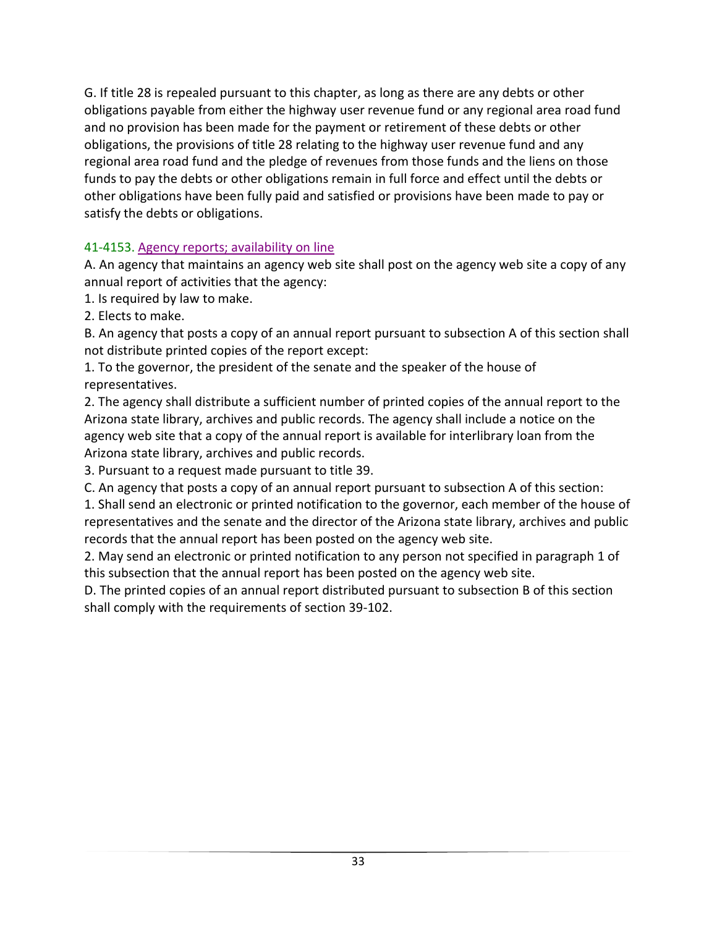G. If title 28 is repealed pursuant to this chapter, as long as there are any debts or other obligations payable from either the highway user revenue fund or any regional area road fund and no provision has been made for the payment or retirement of these debts or other obligations, the provisions of title 28 relating to the highway user revenue fund and any regional area road fund and the pledge of revenues from those funds and the liens on those funds to pay the debts or other obligations remain in full force and effect until the debts or other obligations have been fully paid and satisfied or provisions have been made to pay or satisfy the debts or obligations.

### 41-4153. Agency reports; availability on line

A. An agency that maintains an agency web site shall post on the agency web site a copy of any annual report of activities that the agency:

1. Is required by law to make.

2. Elects to make.

B. An agency that posts a copy of an annual report pursuant to subsection A of this section shall not distribute printed copies of the report except:

1. To the governor, the president of the senate and the speaker of the house of representatives.

2. The agency shall distribute a sufficient number of printed copies of the annual report to the Arizona state library, archives and public records. The agency shall include a notice on the agency web site that a copy of the annual report is available for interlibrary loan from the Arizona state library, archives and public records.

3. Pursuant to a request made pursuant to title 39.

C. An agency that posts a copy of an annual report pursuant to subsection A of this section:

1. Shall send an electronic or printed notification to the governor, each member of the house of representatives and the senate and the director of the Arizona state library, archives and public records that the annual report has been posted on the agency web site.

2. May send an electronic or printed notification to any person not specified in paragraph 1 of this subsection that the annual report has been posted on the agency web site.

D. The printed copies of an annual report distributed pursuant to subsection B of this section shall comply with the requirements of section 39-102.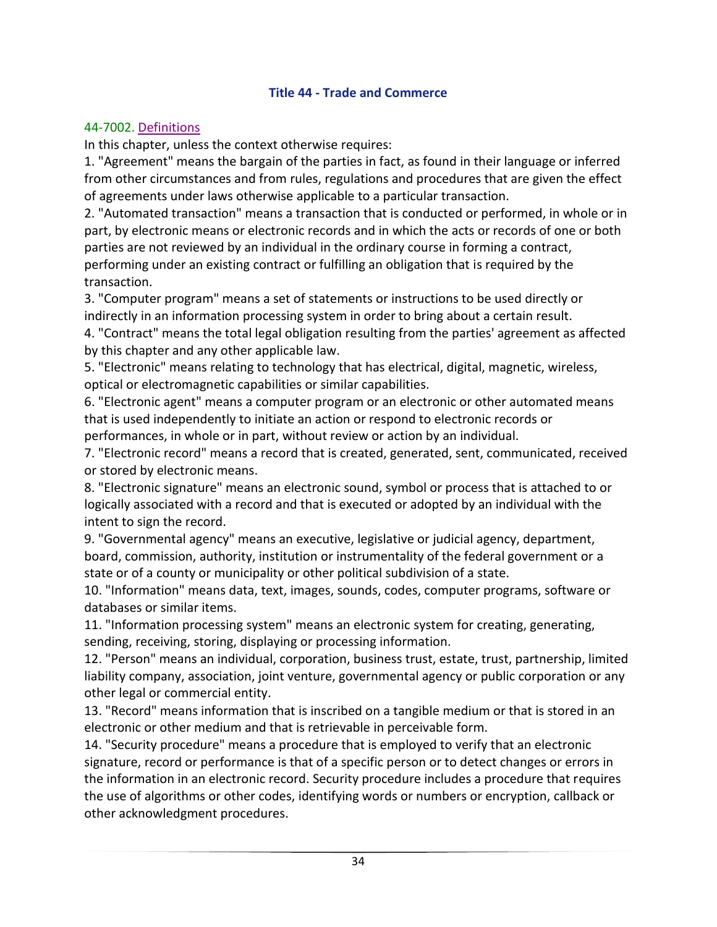#### **Title 44 - Trade and Commerce**

#### <span id="page-35-0"></span>44-7002. Definitions

In this chapter, unless the context otherwise requires:

1. "Agreement" means the bargain of the parties in fact, as found in their language or inferred from other circumstances and from rules, regulations and procedures that are given the effect of agreements under laws otherwise applicable to a particular transaction.

2. "Automated transaction" means a transaction that is conducted or performed, in whole or in part, by electronic means or electronic records and in which the acts or records of one or both parties are not reviewed by an individual in the ordinary course in forming a contract, performing under an existing contract or fulfilling an obligation that is required by the transaction.

3. "Computer program" means a set of statements or instructions to be used directly or indirectly in an information processing system in order to bring about a certain result.

4. "Contract" means the total legal obligation resulting from the parties' agreement as affected by this chapter and any other applicable law.

5. "Electronic" means relating to technology that has electrical, digital, magnetic, wireless, optical or electromagnetic capabilities or similar capabilities.

6. "Electronic agent" means a computer program or an electronic or other automated means that is used independently to initiate an action or respond to electronic records or performances, in whole or in part, without review or action by an individual.

7. "Electronic record" means a record that is created, generated, sent, communicated, received or stored by electronic means.

8. "Electronic signature" means an electronic sound, symbol or process that is attached to or logically associated with a record and that is executed or adopted by an individual with the intent to sign the record.

9. "Governmental agency" means an executive, legislative or judicial agency, department, board, commission, authority, institution or instrumentality of the federal government or a state or of a county or municipality or other political subdivision of a state.

10. "Information" means data, text, images, sounds, codes, computer programs, software or databases or similar items.

11. "Information processing system" means an electronic system for creating, generating, sending, receiving, storing, displaying or processing information.

12. "Person" means an individual, corporation, business trust, estate, trust, partnership, limited liability company, association, joint venture, governmental agency or public corporation or any other legal or commercial entity.

13. "Record" means information that is inscribed on a tangible medium or that is stored in an electronic or other medium and that is retrievable in perceivable form.

14. "Security procedure" means a procedure that is employed to verify that an electronic signature, record or performance is that of a specific person or to detect changes or errors in the information in an electronic record. Security procedure includes a procedure that requires the use of algorithms or other codes, identifying words or numbers or encryption, callback or other acknowledgment procedures.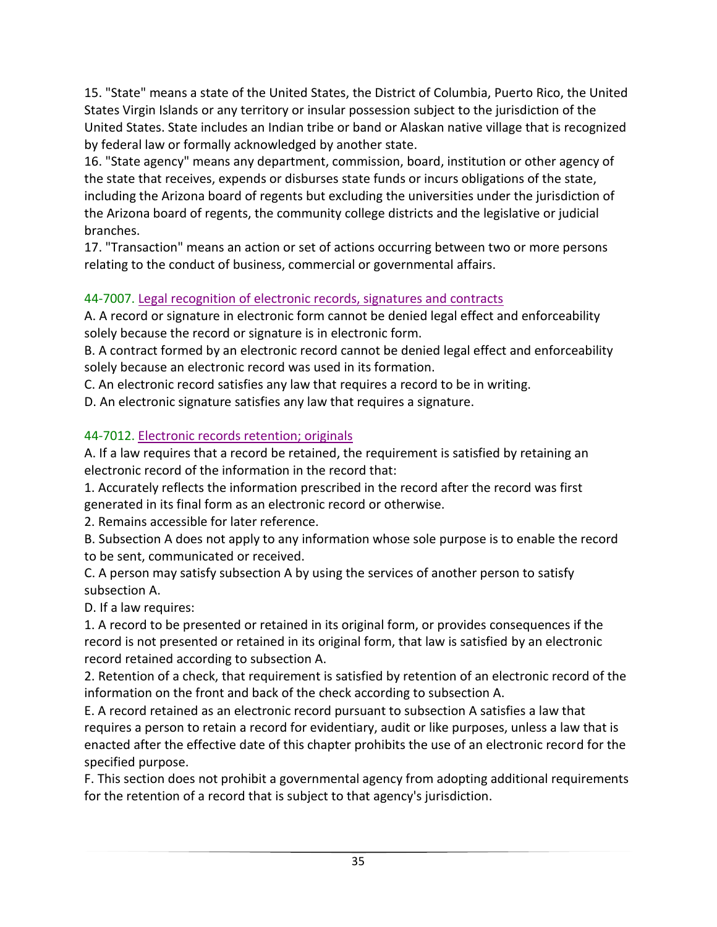15. "State" means a state of the United States, the District of Columbia, Puerto Rico, the United States Virgin Islands or any territory or insular possession subject to the jurisdiction of the United States. State includes an Indian tribe or band or Alaskan native village that is recognized by federal law or formally acknowledged by another state.

16. "State agency" means any department, commission, board, institution or other agency of the state that receives, expends or disburses state funds or incurs obligations of the state, including the Arizona board of regents but excluding the universities under the jurisdiction of the Arizona board of regents, the community college districts and the legislative or judicial branches.

17. "Transaction" means an action or set of actions occurring between two or more persons relating to the conduct of business, commercial or governmental affairs.

### 44-7007. Legal recognition of electronic records, signatures and contracts

A. A record or signature in electronic form cannot be denied legal effect and enforceability solely because the record or signature is in electronic form.

B. A contract formed by an electronic record cannot be denied legal effect and enforceability solely because an electronic record was used in its formation.

C. An electronic record satisfies any law that requires a record to be in writing.

D. An electronic signature satisfies any law that requires a signature.

### 44-7012. Electronic records retention; originals

A. If a law requires that a record be retained, the requirement is satisfied by retaining an electronic record of the information in the record that:

1. Accurately reflects the information prescribed in the record after the record was first generated in its final form as an electronic record or otherwise.

2. Remains accessible for later reference.

B. Subsection A does not apply to any information whose sole purpose is to enable the record to be sent, communicated or received.

C. A person may satisfy subsection A by using the services of another person to satisfy subsection A.

D. If a law requires:

1. A record to be presented or retained in its original form, or provides consequences if the record is not presented or retained in its original form, that law is satisfied by an electronic record retained according to subsection A.

2. Retention of a check, that requirement is satisfied by retention of an electronic record of the information on the front and back of the check according to subsection A.

E. A record retained as an electronic record pursuant to subsection A satisfies a law that requires a person to retain a record for evidentiary, audit or like purposes, unless a law that is enacted after the effective date of this chapter prohibits the use of an electronic record for the specified purpose.

F. This section does not prohibit a governmental agency from adopting additional requirements for the retention of a record that is subject to that agency's jurisdiction.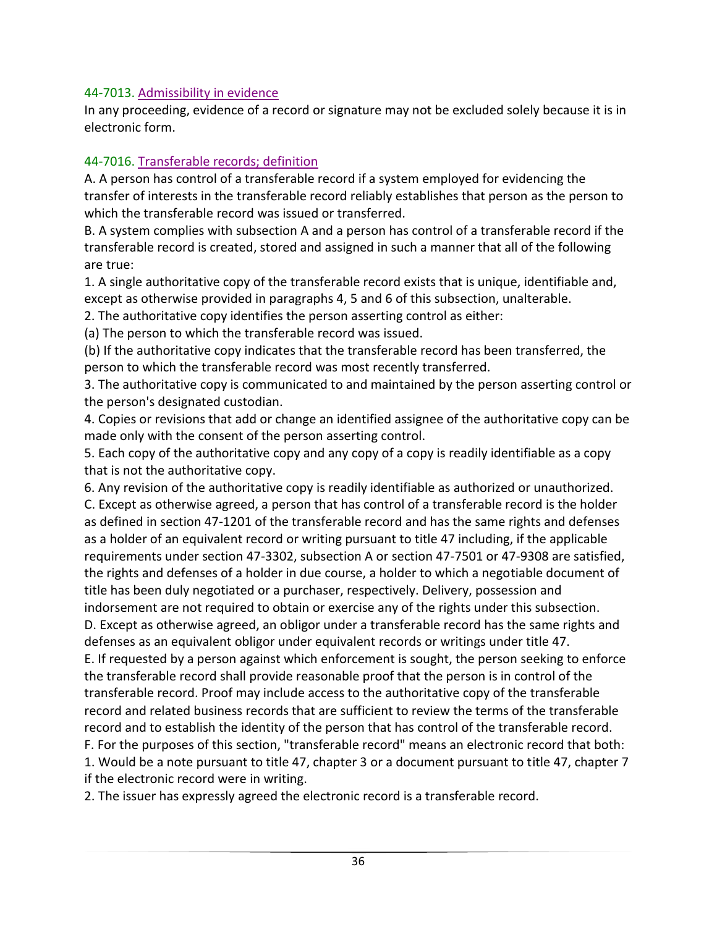#### 44-7013. Admissibility in evidence

In any proceeding, evidence of a record or signature may not be excluded solely because it is in electronic form.

### 44-7016. Transferable records; definition

A. A person has control of a transferable record if a system employed for evidencing the transfer of interests in the transferable record reliably establishes that person as the person to which the transferable record was issued or transferred.

B. A system complies with subsection A and a person has control of a transferable record if the transferable record is created, stored and assigned in such a manner that all of the following are true:

1. A single authoritative copy of the transferable record exists that is unique, identifiable and, except as otherwise provided in paragraphs 4, 5 and 6 of this subsection, unalterable.

2. The authoritative copy identifies the person asserting control as either:

(a) The person to which the transferable record was issued.

(b) If the authoritative copy indicates that the transferable record has been transferred, the person to which the transferable record was most recently transferred.

3. The authoritative copy is communicated to and maintained by the person asserting control or the person's designated custodian.

4. Copies or revisions that add or change an identified assignee of the authoritative copy can be made only with the consent of the person asserting control.

5. Each copy of the authoritative copy and any copy of a copy is readily identifiable as a copy that is not the authoritative copy.

6. Any revision of the authoritative copy is readily identifiable as authorized or unauthorized. C. Except as otherwise agreed, a person that has control of a transferable record is the holder as defined in section 47-1201 of the transferable record and has the same rights and defenses as a holder of an equivalent record or writing pursuant to title 47 including, if the applicable requirements under section 47-3302, subsection A or section 47-7501 or 47-9308 are satisfied, the rights and defenses of a holder in due course, a holder to which a negotiable document of title has been duly negotiated or a purchaser, respectively. Delivery, possession and indorsement are not required to obtain or exercise any of the rights under this subsection.

D. Except as otherwise agreed, an obligor under a transferable record has the same rights and defenses as an equivalent obligor under equivalent records or writings under title 47.

E. If requested by a person against which enforcement is sought, the person seeking to enforce the transferable record shall provide reasonable proof that the person is in control of the transferable record. Proof may include access to the authoritative copy of the transferable record and related business records that are sufficient to review the terms of the transferable record and to establish the identity of the person that has control of the transferable record.

F. For the purposes of this section, "transferable record" means an electronic record that both: 1. Would be a note pursuant to title 47, chapter 3 or a document pursuant to title 47, chapter 7

if the electronic record were in writing.

2. The issuer has expressly agreed the electronic record is a transferable record.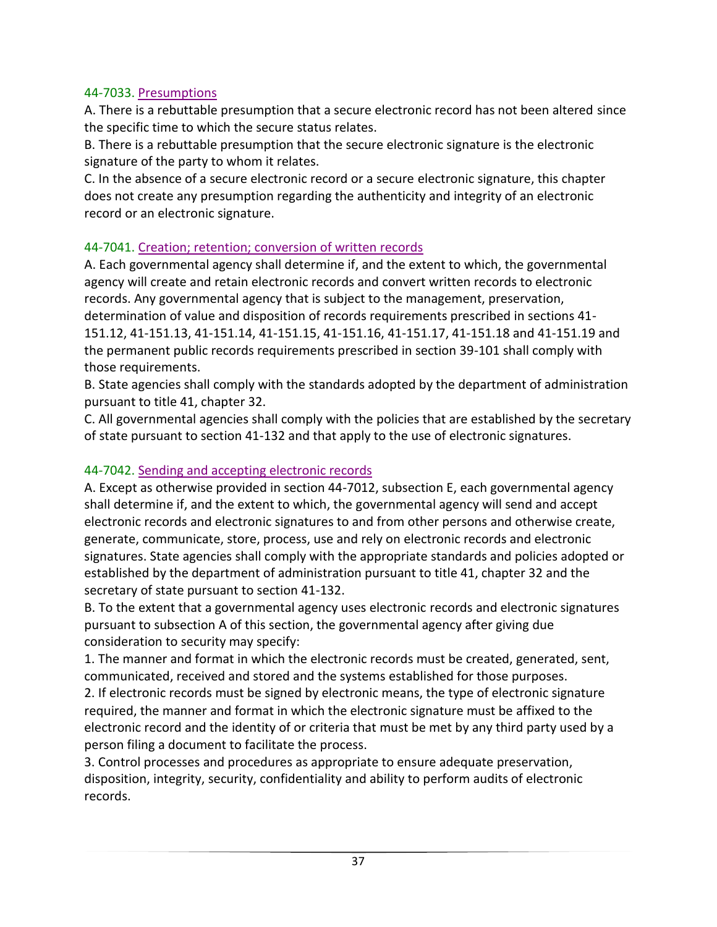### 44-7033. Presumptions

A. There is a rebuttable presumption that a secure electronic record has not been altered since the specific time to which the secure status relates.

B. There is a rebuttable presumption that the secure electronic signature is the electronic signature of the party to whom it relates.

C. In the absence of a secure electronic record or a secure electronic signature, this chapter does not create any presumption regarding the authenticity and integrity of an electronic record or an electronic signature.

#### 44-7041. Creation; retention; conversion of written records

A. Each governmental agency shall determine if, and the extent to which, the governmental agency will create and retain electronic records and convert written records to electronic records. Any governmental agency that is subject to the management, preservation, determination of value and disposition of records requirements prescribed in sections 41- 151.12, 41-151.13, 41-151.14, 41-151.15, 41-151.16, 41-151.17, 41-151.18 and 41-151.19 and the permanent public records requirements prescribed in section 39-101 shall comply with those requirements.

B. State agencies shall comply with the standards adopted by the department of administration pursuant to title 41, chapter 32.

C. All governmental agencies shall comply with the policies that are established by the secretary of state pursuant to section 41-132 and that apply to the use of electronic signatures.

### 44-7042. Sending and accepting electronic records

A. Except as otherwise provided in section 44-7012, subsection E, each governmental agency shall determine if, and the extent to which, the governmental agency will send and accept electronic records and electronic signatures to and from other persons and otherwise create, generate, communicate, store, process, use and rely on electronic records and electronic signatures. State agencies shall comply with the appropriate standards and policies adopted or established by the department of administration pursuant to title 41, chapter 32 and the secretary of state pursuant to section 41-132.

B. To the extent that a governmental agency uses electronic records and electronic signatures pursuant to subsection A of this section, the governmental agency after giving due consideration to security may specify:

1. The manner and format in which the electronic records must be created, generated, sent, communicated, received and stored and the systems established for those purposes.

2. If electronic records must be signed by electronic means, the type of electronic signature required, the manner and format in which the electronic signature must be affixed to the electronic record and the identity of or criteria that must be met by any third party used by a person filing a document to facilitate the process.

3. Control processes and procedures as appropriate to ensure adequate preservation, disposition, integrity, security, confidentiality and ability to perform audits of electronic records.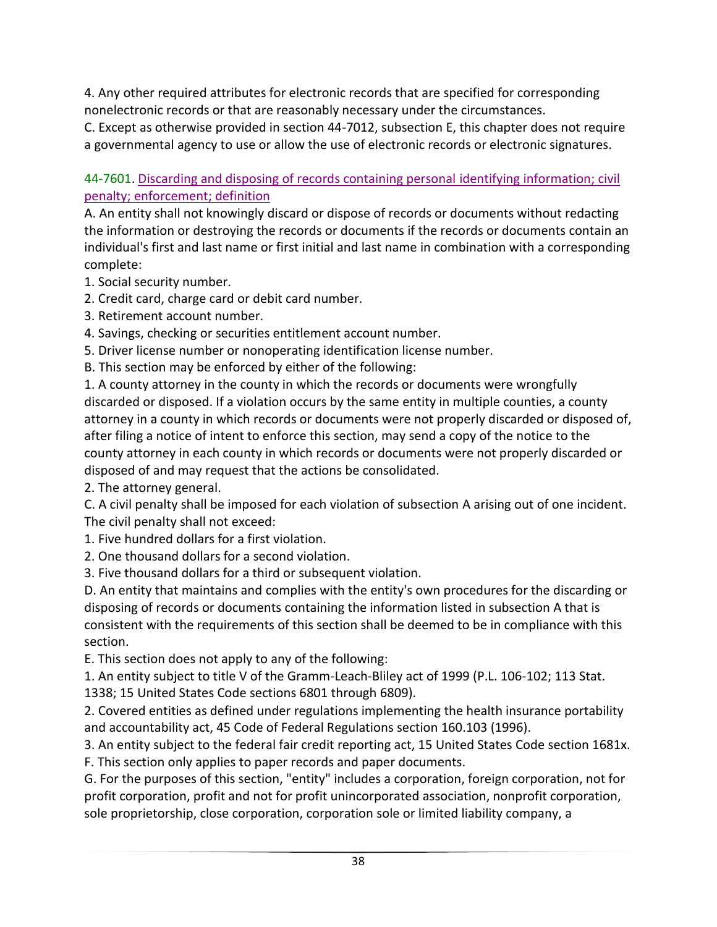4. Any other required attributes for electronic records that are specified for corresponding nonelectronic records or that are reasonably necessary under the circumstances.

C. Except as otherwise provided in section 44-7012, subsection E, this chapter does not require a governmental agency to use or allow the use of electronic records or electronic signatures.

44-7601. Discarding and disposing of records containing personal identifying information; civil penalty; enforcement; definition

A. An entity shall not knowingly discard or dispose of records or documents without redacting the information or destroying the records or documents if the records or documents contain an individual's first and last name or first initial and last name in combination with a corresponding complete:

- 1. Social security number.
- 2. Credit card, charge card or debit card number.
- 3. Retirement account number.
- 4. Savings, checking or securities entitlement account number.
- 5. Driver license number or nonoperating identification license number.

B. This section may be enforced by either of the following:

1. A county attorney in the county in which the records or documents were wrongfully discarded or disposed. If a violation occurs by the same entity in multiple counties, a county attorney in a county in which records or documents were not properly discarded or disposed of, after filing a notice of intent to enforce this section, may send a copy of the notice to the county attorney in each county in which records or documents were not properly discarded or disposed of and may request that the actions be consolidated.

2. The attorney general.

C. A civil penalty shall be imposed for each violation of subsection A arising out of one incident. The civil penalty shall not exceed:

- 1. Five hundred dollars for a first violation.
- 2. One thousand dollars for a second violation.

3. Five thousand dollars for a third or subsequent violation.

D. An entity that maintains and complies with the entity's own procedures for the discarding or disposing of records or documents containing the information listed in subsection A that is consistent with the requirements of this section shall be deemed to be in compliance with this section.

E. This section does not apply to any of the following:

1. An entity subject to title V of the Gramm-Leach-Bliley act of 1999 (P.L. 106-102; 113 Stat. 1338; 15 United States Code sections 6801 through 6809).

2. Covered entities as defined under regulations implementing the health insurance portability and accountability act, 45 Code of Federal Regulations section 160.103 (1996).

3. An entity subject to the federal fair credit reporting act, 15 United States Code section 1681x. F. This section only applies to paper records and paper documents.

G. For the purposes of this section, "entity" includes a corporation, foreign corporation, not for profit corporation, profit and not for profit unincorporated association, nonprofit corporation, sole proprietorship, close corporation, corporation sole or limited liability company, a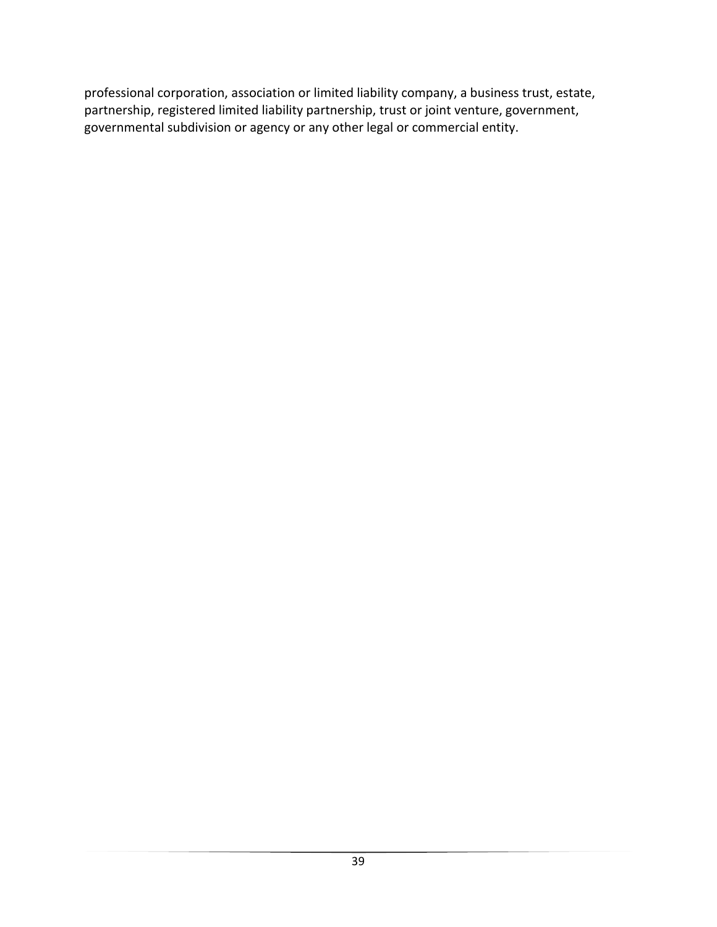professional corporation, association or limited liability company, a business trust, estate, partnership, registered limited liability partnership, trust or joint venture, government, governmental subdivision or agency or any other legal or commercial entity.